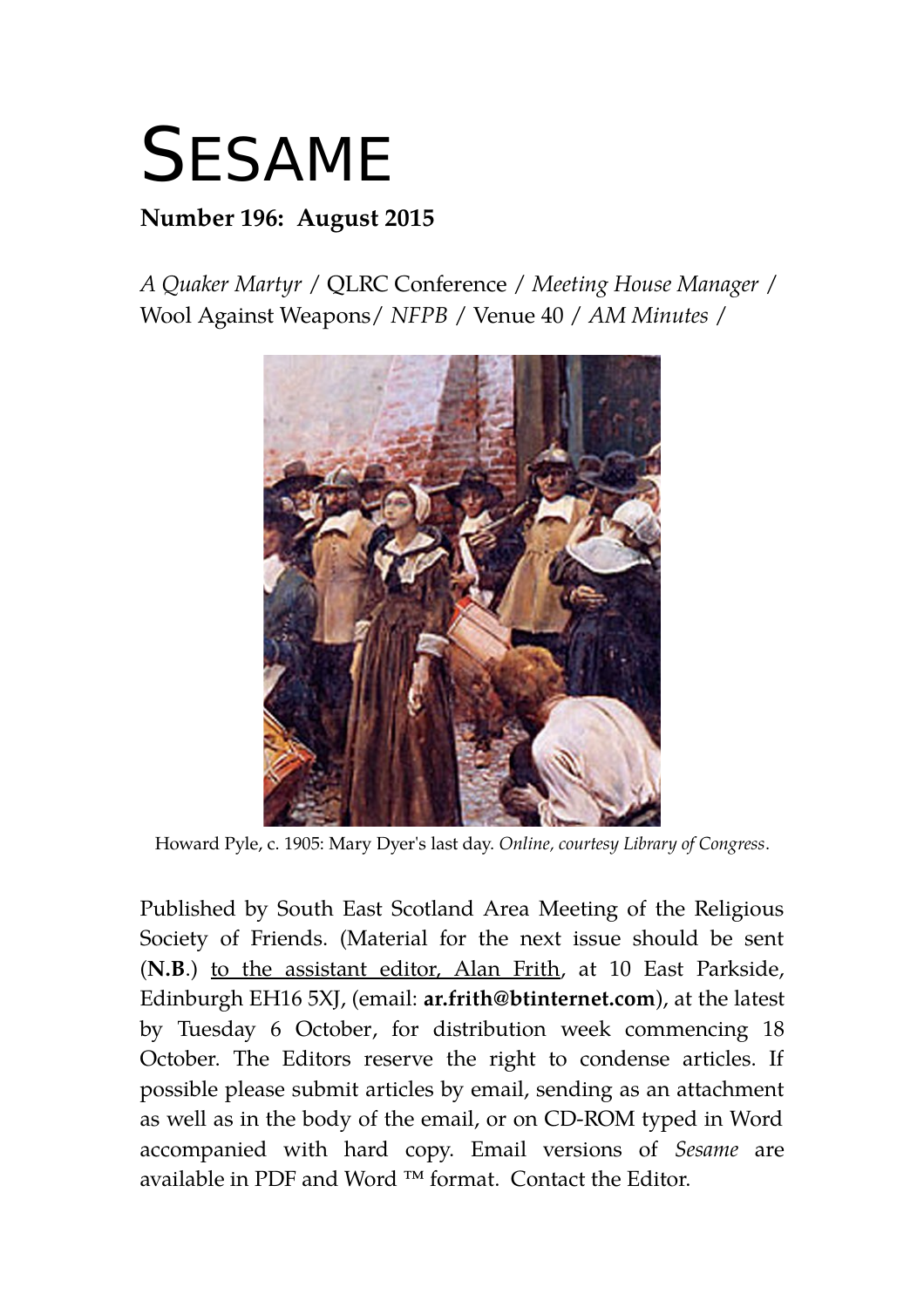# **SESAME**

# **Number 196: August 2015**

*A Quaker Martyr* / QLRC Conference / *Meeting House Manager* / Wool Against Weapons/ *NFPB* / Venue 40 / *AM Minutes* /



Howard Pyle, c. 1905: Mary Dyer's last day. *Online, courtesy Library of Congress*.

Published by South East Scotland Area Meeting of the Religious Society of Friends. (Material for the next issue should be sent (**N.B**.) to the assistant editor, Alan Frith, at 10 East Parkside, Edinburgh EH16 5XJ, (email: **ar.frith@btinternet.com**), at the latest by Tuesday 6 October, for distribution week commencing 18 October. The Editors reserve the right to condense articles. If possible please submit articles by email, sending as an attachment as well as in the body of the email, or on CD-ROM typed in Word accompanied with hard copy. Email versions of *Sesame* are available in PDF and Word ™ format. Contact the Editor.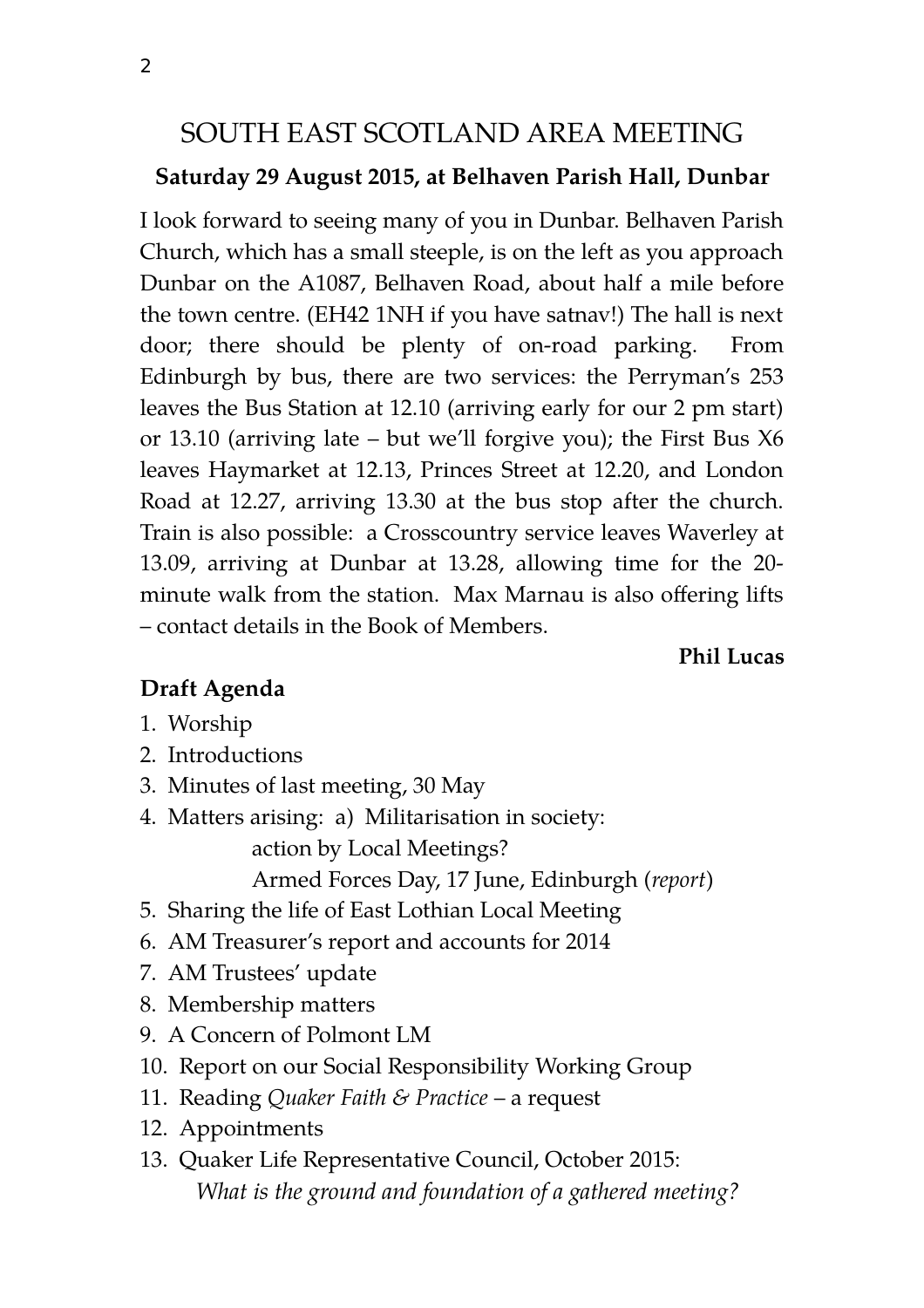# SOUTH EAST SCOTLAND AREA MEETING

#### **Saturday 29 August 2015, at Belhaven Parish Hall, Dunbar**

I look forward to seeing many of you in Dunbar. Belhaven Parish Church, which has a small steeple, is on the left as you approach Dunbar on the A1087, Belhaven Road, about half a mile before the town centre. (EH42 1NH if you have satnav!) The hall is next door; there should be plenty of on-road parking. From Edinburgh by bus, there are two services: the Perryman's 253 leaves the Bus Station at 12.10 (arriving early for our 2 pm start) or 13.10 (arriving late – but we'll forgive you); the First Bus X6 leaves Haymarket at 12.13, Princes Street at 12.20, and London Road at 12.27, arriving 13.30 at the bus stop after the church. Train is also possible: a Crosscountry service leaves Waverley at 13.09, arriving at Dunbar at 13.28, allowing time for the 20 minute walk from the station. Max Marnau is also offering lifts – contact details in the Book of Members.

**Phil Lucas**

#### **Draft Agenda**

- 1. Worship
- 2. Introductions
- 3. Minutes of last meeting, 30 May
- 4. Matters arising: a) Militarisation in society: action by Local Meetings?
	- Armed Forces Day, 17 June, Edinburgh (*report*)
- 5. Sharing the life of East Lothian Local Meeting
- 6. AM Treasurer's report and accounts for 2014
- 7. AM Trustees' update
- 8. Membership matters
- 9. A Concern of Polmont LM
- 10. Report on our Social Responsibility Working Group
- 11. Reading *Quaker Faith & Practice* a request
- 12. Appointments
- 13. Quaker Life Representative Council, October 2015: *What is the ground and foundation of a gathered meeting?*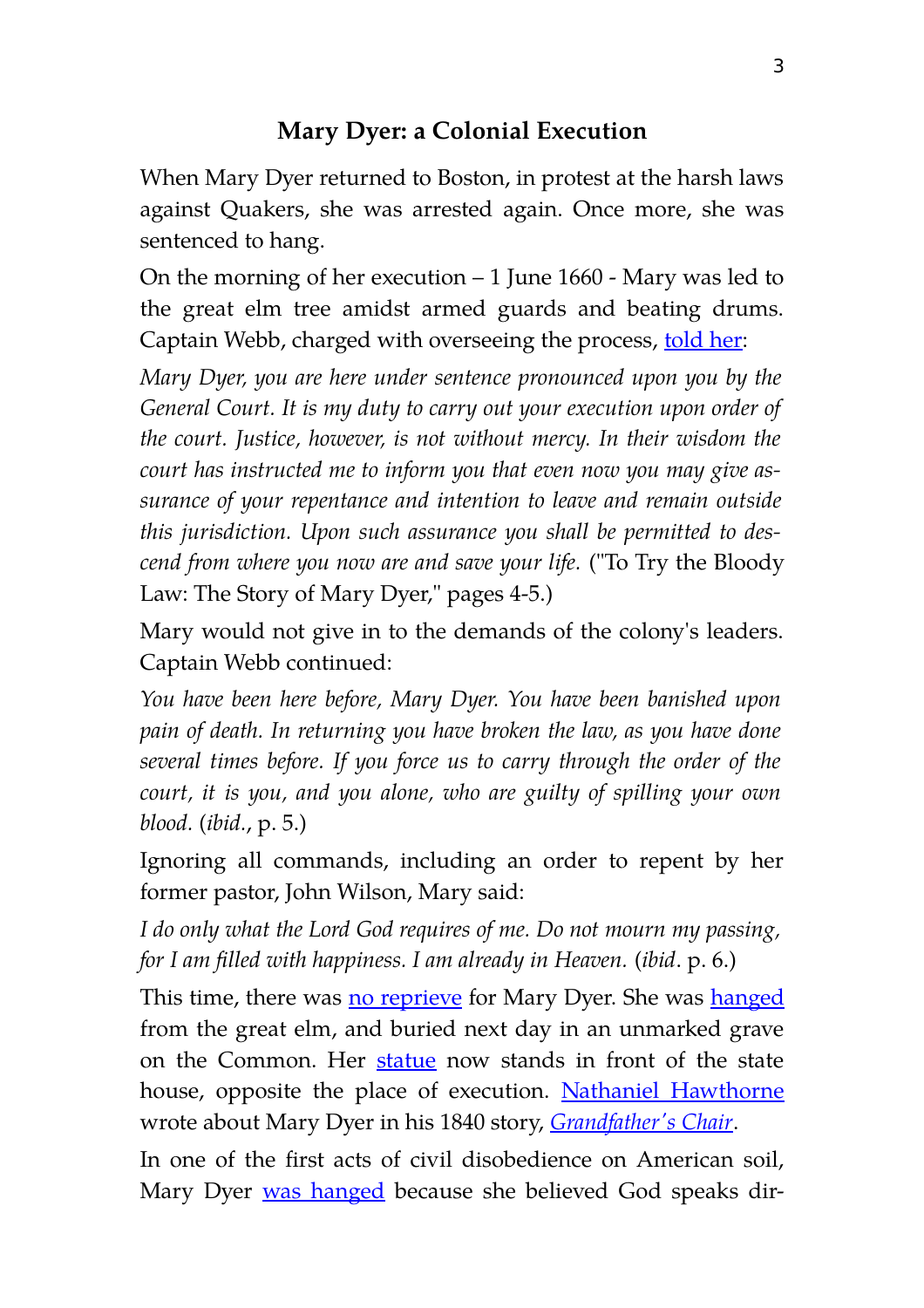# **Mary Dyer: a Colonial Execution**

When Mary Dyer returned to Boston, in protest at the harsh laws against Quakers, she was arrested again. Once more, she was sentenced to hang.

On the morning of her execution  $-1$  June 1660 - Mary was led to the great elm tree amidst armed guards and beating drums. Captain Webb, charged with overseeing the process, [told her:](http://www.amazon.com/gp/reader/0923687564/ref=sib_dp_pt/104-3350787-2552768#reader-link)

*Mary Dyer, you are here under sentence pronounced upon you by the General Court. It is my duty to carry out your execution upon order of the court. Justice, however, is not without mercy. In their wisdom the court has instructed me to inform you that even now you may give assurance of your repentance and intention to leave and remain outside this jurisdiction. Upon such assurance you shall be permitted to descend from where you now are and save your life.* ("To Try the Bloody Law: The Story of Mary Dyer," pages 4-5.)

Mary would not give in to the demands of the colony's leaders. Captain Webb continued:

*You have been here before, Mary Dyer. You have been banished upon pain of death. In returning you have broken the law, as you have done several times before. If you force us to carry through the order of the court, it is you, and you alone, who are guilty of spilling your own blood.* (*ibid.*, p. 5.)

Ignoring all commands, including an order to repent by her former pastor, John Wilson, Mary said:

*I do only what the Lord God requires of me. Do not mourn my passing, for I am filled with happiness. I am already in Heaven.* (*ibid*. p. 6.)

This time, there was [no reprieve](https://www.awesomestories.com/assets/photo-mary-dyer-no-reprieve) for Mary Dyer. She was [hanged](https://www.awesomestories.com/assets/photo-mary-dyer-facing-hanging) from the great elm, and buried next day in an unmarked grave on the Common. Her [statue](http://www.rootsweb.com/~nwa/dyer.html) now stands in front of the state house, opposite the place of execution. [Nathaniel Hawthorne](https://www.awesomestories.com/assets/photo-nathaniel-hawthorne_1) wrote about Mary Dyer in his 1840 story, *[Grandfather's Chair](http://www.pagebypagebooks.com/Nathaniel_Hawthorne/Grandfathers_Chair/)*.

In one of the first acts of civil disobedience on American soil, Mary Dyer [was hanged](https://www.awesomestories.com/assets/mary-dyer-by-ruth-plimton) because she believed God speaks dir-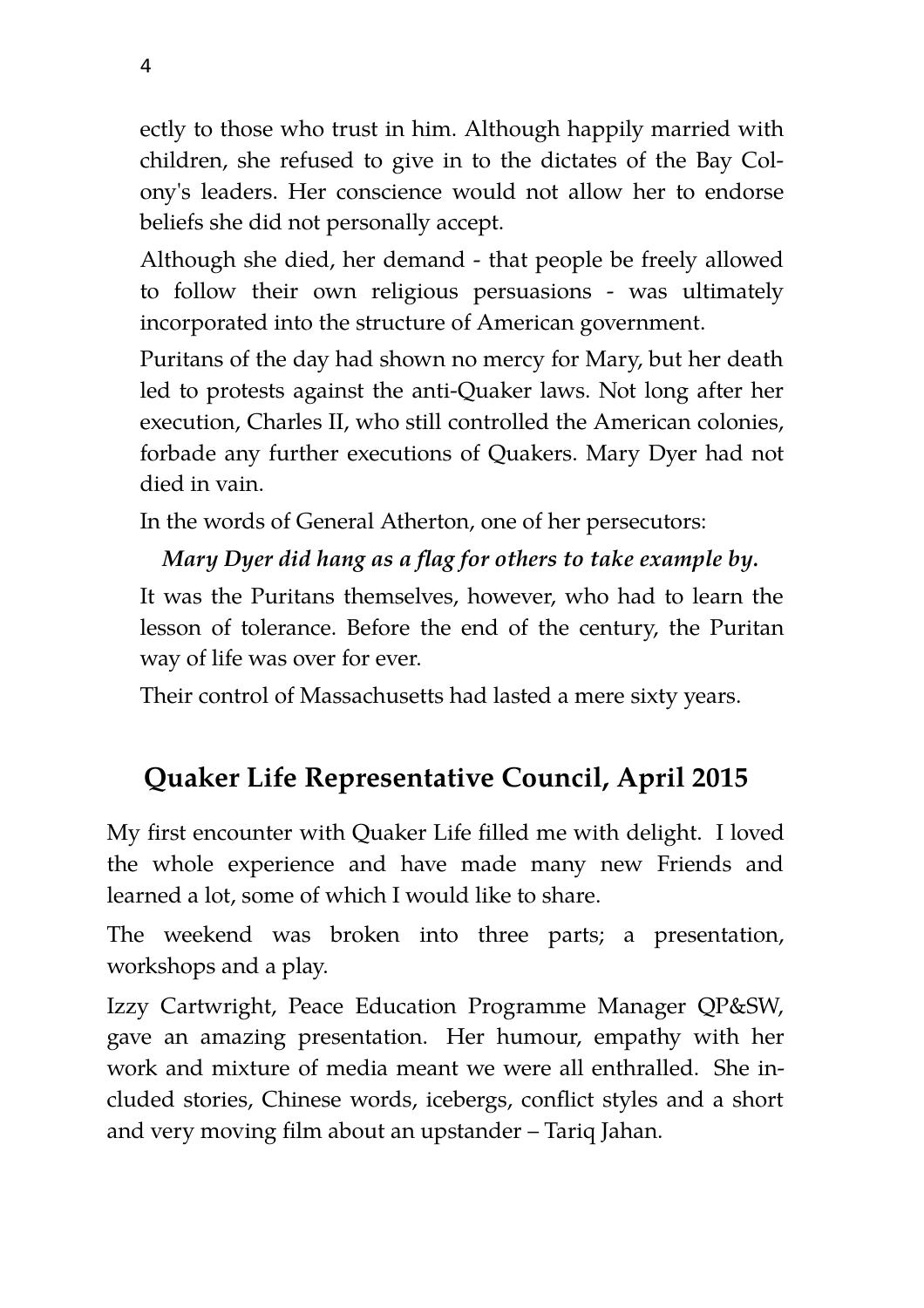ectly to those who trust in him. Although happily married with children, she refused to give in to the dictates of the Bay Colony's leaders. Her conscience would not allow her to endorse beliefs she did not personally accept.

Although she died, her demand - that people be freely allowed to follow their own religious persuasions - was ultimately incorporated into the structure of American government.

Puritans of the day had shown no mercy for Mary, but her death led to protests against the anti-Quaker laws. Not long after her execution, Charles II, who still controlled the American colonies, forbade any further executions of Quakers. Mary Dyer had not died in vain.

In the words of General Atherton, one of her persecutors:

# *Mary Dyer did hang as a flag for others to take example by.*

It was the Puritans themselves, however, who had to learn the lesson of tolerance. Before the end of the century, the Puritan way of life was over for ever.

Their control of Massachusetts had lasted a mere sixty years.

# **Quaker Life Representative Council, April 2015**

My first encounter with Quaker Life filled me with delight. I loved the whole experience and have made many new Friends and learned a lot, some of which I would like to share.

The weekend was broken into three parts; a presentation, workshops and a play.

Izzy Cartwright, Peace Education Programme Manager QP&SW, gave an amazing presentation. Her humour, empathy with her work and mixture of media meant we were all enthralled. She included stories, Chinese words, icebergs, conflict styles and a short and very moving film about an upstander – Tariq Jahan.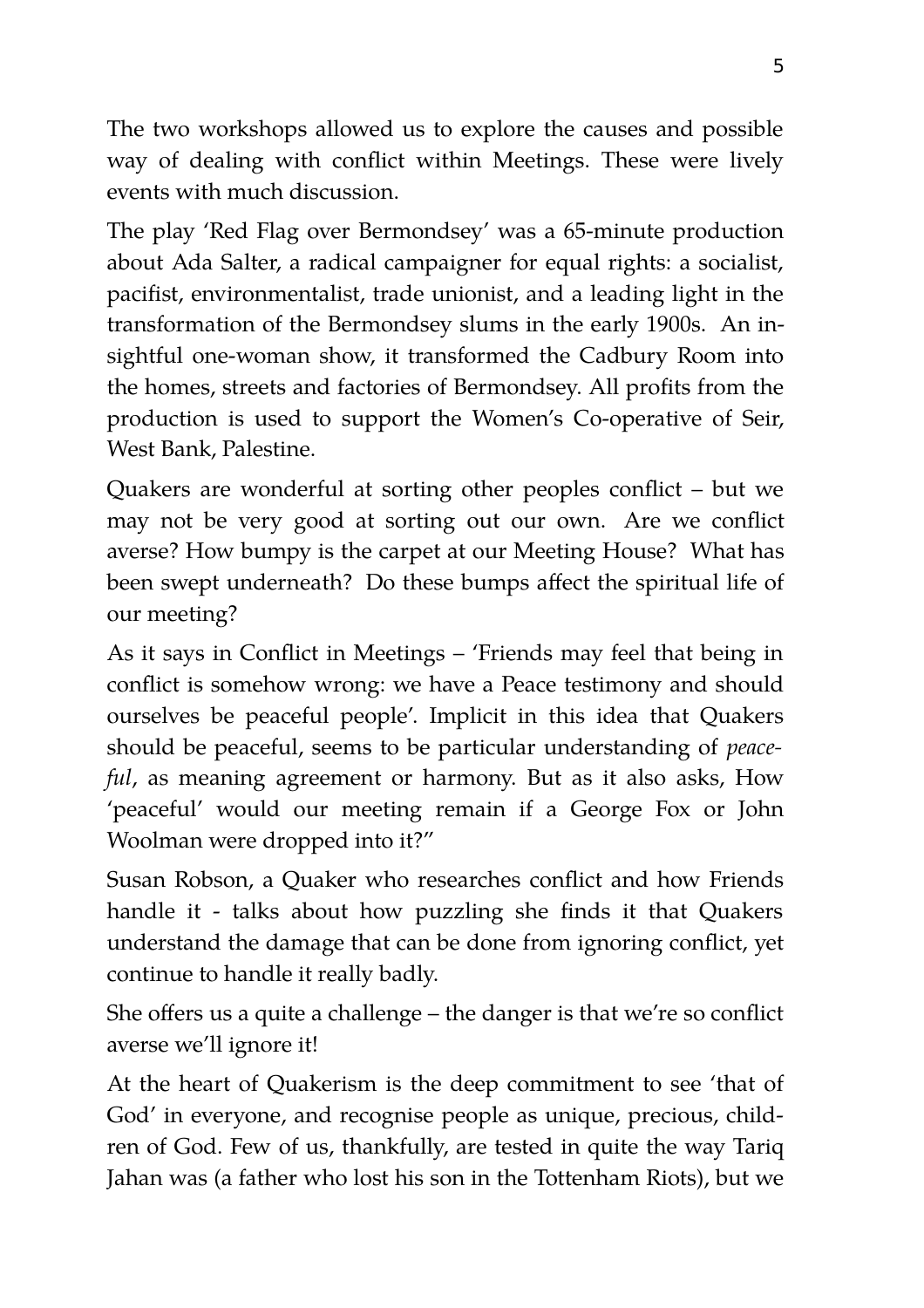The two workshops allowed us to explore the causes and possible way of dealing with conflict within Meetings. These were lively events with much discussion.

The play 'Red Flag over Bermondsey' was a 65-minute production about Ada Salter, a radical campaigner for equal rights: a socialist, pacifist, environmentalist, trade unionist, and a leading light in the transformation of the Bermondsey slums in the early 1900s. An insightful one-woman show, it transformed the Cadbury Room into the homes, streets and factories of Bermondsey. All profits from the production is used to support the Women's Co-operative of Seir, West Bank, Palestine.

Quakers are wonderful at sorting other peoples conflict – but we may not be very good at sorting out our own. Are we conflict averse? How bumpy is the carpet at our Meeting House? What has been swept underneath? Do these bumps affect the spiritual life of our meeting?

As it says in Conflict in Meetings – 'Friends may feel that being in conflict is somehow wrong: we have a Peace testimony and should ourselves be peaceful people'. Implicit in this idea that Quakers should be peaceful, seems to be particular understanding of *peaceful*, as meaning agreement or harmony. But as it also asks, How 'peaceful' would our meeting remain if a George Fox or John Woolman were dropped into it?"

Susan Robson, a Quaker who researches conflict and how Friends handle it - talks about how puzzling she finds it that Quakers understand the damage that can be done from ignoring conflict, yet continue to handle it really badly.

She offers us a quite a challenge – the danger is that we're so conflict averse we'll ignore it!

At the heart of Quakerism is the deep commitment to see 'that of God' in everyone, and recognise people as unique, precious, children of God. Few of us, thankfully, are tested in quite the way Tariq Jahan was (a father who lost his son in the Tottenham Riots), but we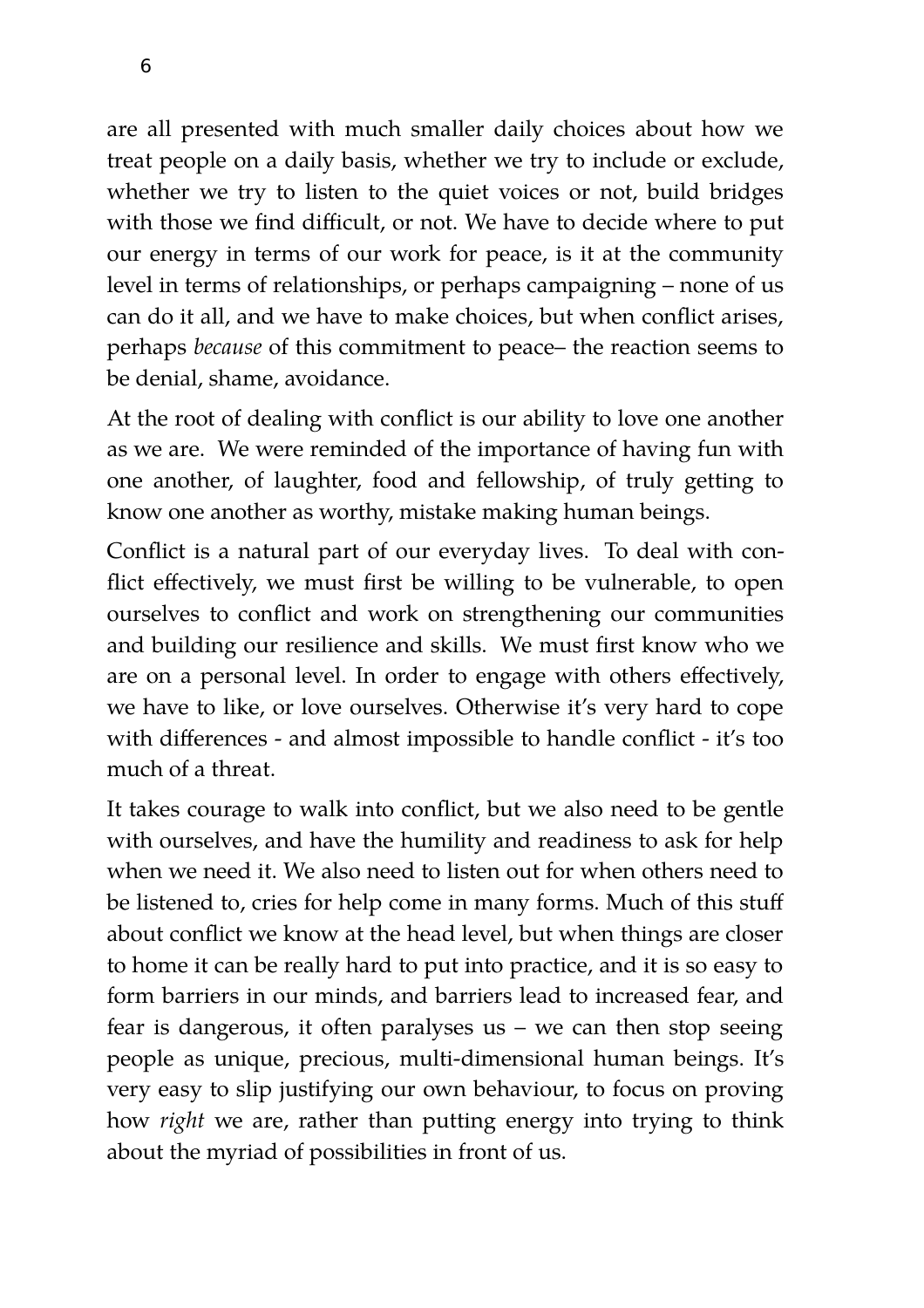are all presented with much smaller daily choices about how we treat people on a daily basis, whether we try to include or exclude, whether we try to listen to the quiet voices or not, build bridges with those we find difficult, or not. We have to decide where to put our energy in terms of our work for peace, is it at the community level in terms of relationships, or perhaps campaigning – none of us can do it all, and we have to make choices, but when conflict arises, perhaps *because* of this commitment to peace– the reaction seems to be denial, shame, avoidance.

At the root of dealing with conflict is our ability to love one another as we are. We were reminded of the importance of having fun with one another, of laughter, food and fellowship, of truly getting to know one another as worthy, mistake making human beings.

Conflict is a natural part of our everyday lives. To deal with conflict effectively, we must first be willing to be vulnerable, to open ourselves to conflict and work on strengthening our communities and building our resilience and skills. We must first know who we are on a personal level. In order to engage with others effectively, we have to like, or love ourselves. Otherwise it's very hard to cope with differences - and almost impossible to handle conflict - it's too much of a threat.

It takes courage to walk into conflict, but we also need to be gentle with ourselves, and have the humility and readiness to ask for help when we need it. We also need to listen out for when others need to be listened to, cries for help come in many forms. Much of this stuff about conflict we know at the head level, but when things are closer to home it can be really hard to put into practice, and it is so easy to form barriers in our minds, and barriers lead to increased fear, and fear is dangerous, it often paralyses us – we can then stop seeing people as unique, precious, multi-dimensional human beings. It's very easy to slip justifying our own behaviour, to focus on proving how *right* we are, rather than putting energy into trying to think about the myriad of possibilities in front of us.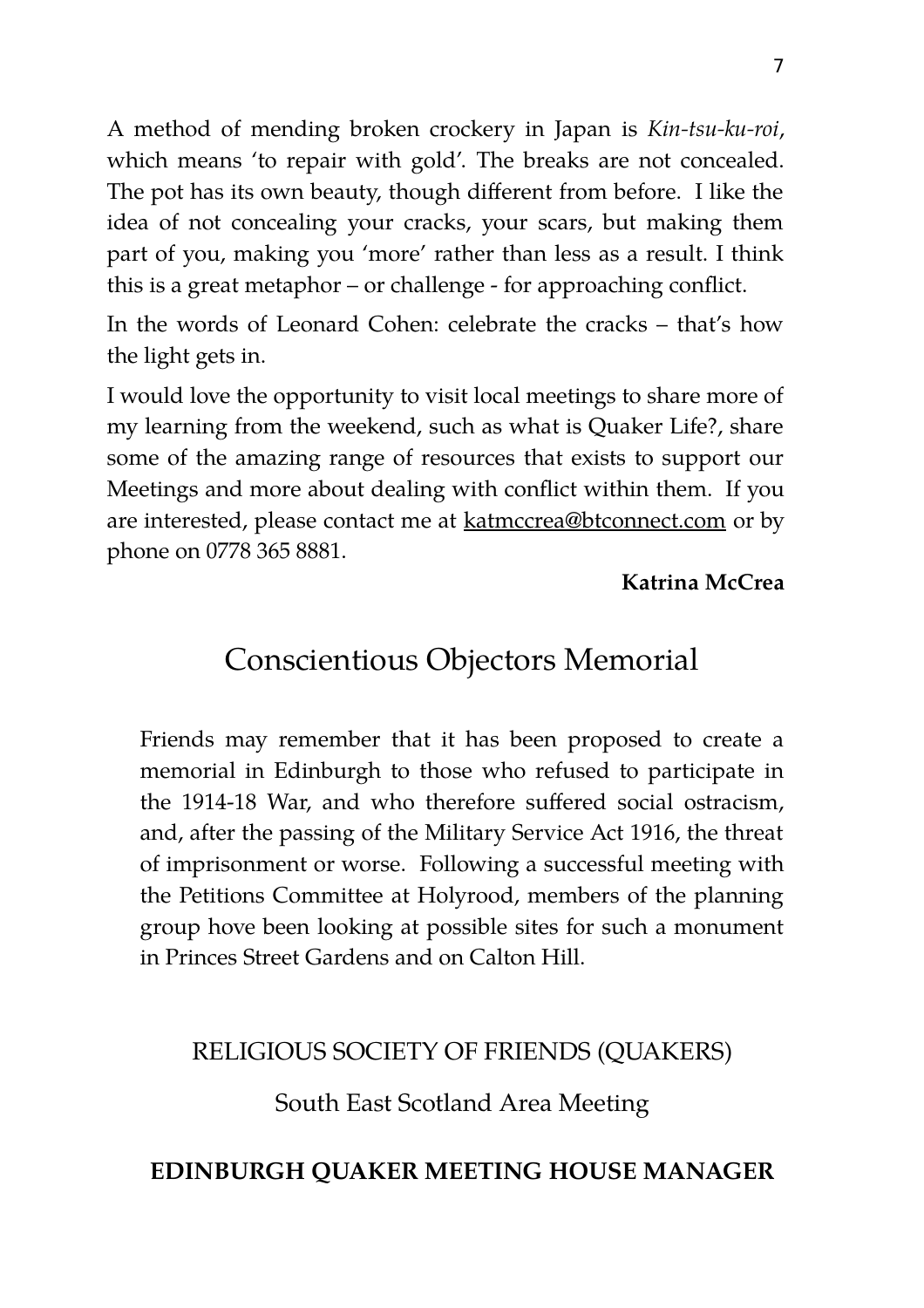A method of mending broken crockery in Japan is *Kin-tsu-ku-roi*, which means 'to repair with gold'. The breaks are not concealed. The pot has its own beauty, though different from before. I like the idea of not concealing your cracks, your scars, but making them part of you, making you 'more' rather than less as a result. I think this is a great metaphor – or challenge - for approaching conflict.

In the words of Leonard Cohen: celebrate the cracks – that's how the light gets in.

I would love the opportunity to visit local meetings to share more of my learning from the weekend, such as what is Quaker Life?, share some of the amazing range of resources that exists to support our Meetings and more about dealing with conflict within them. If you are interested, please contact me at katmccrea@btconnect.com or by phone on 0778 365 8881.

#### **Katrina McCrea**

# Conscientious Objectors Memorial

Friends may remember that it has been proposed to create a memorial in Edinburgh to those who refused to participate in the 1914-18 War, and who therefore suffered social ostracism, and, after the passing of the Military Service Act 1916, the threat of imprisonment or worse. Following a successful meeting with the Petitions Committee at Holyrood, members of the planning group hove been looking at possible sites for such a monument in Princes Street Gardens and on Calton Hill.

#### RELIGIOUS SOCIETY OF FRIENDS (QUAKERS)

South East Scotland Area Meeting

#### **EDINBURGH QUAKER MEETING HOUSE MANAGER**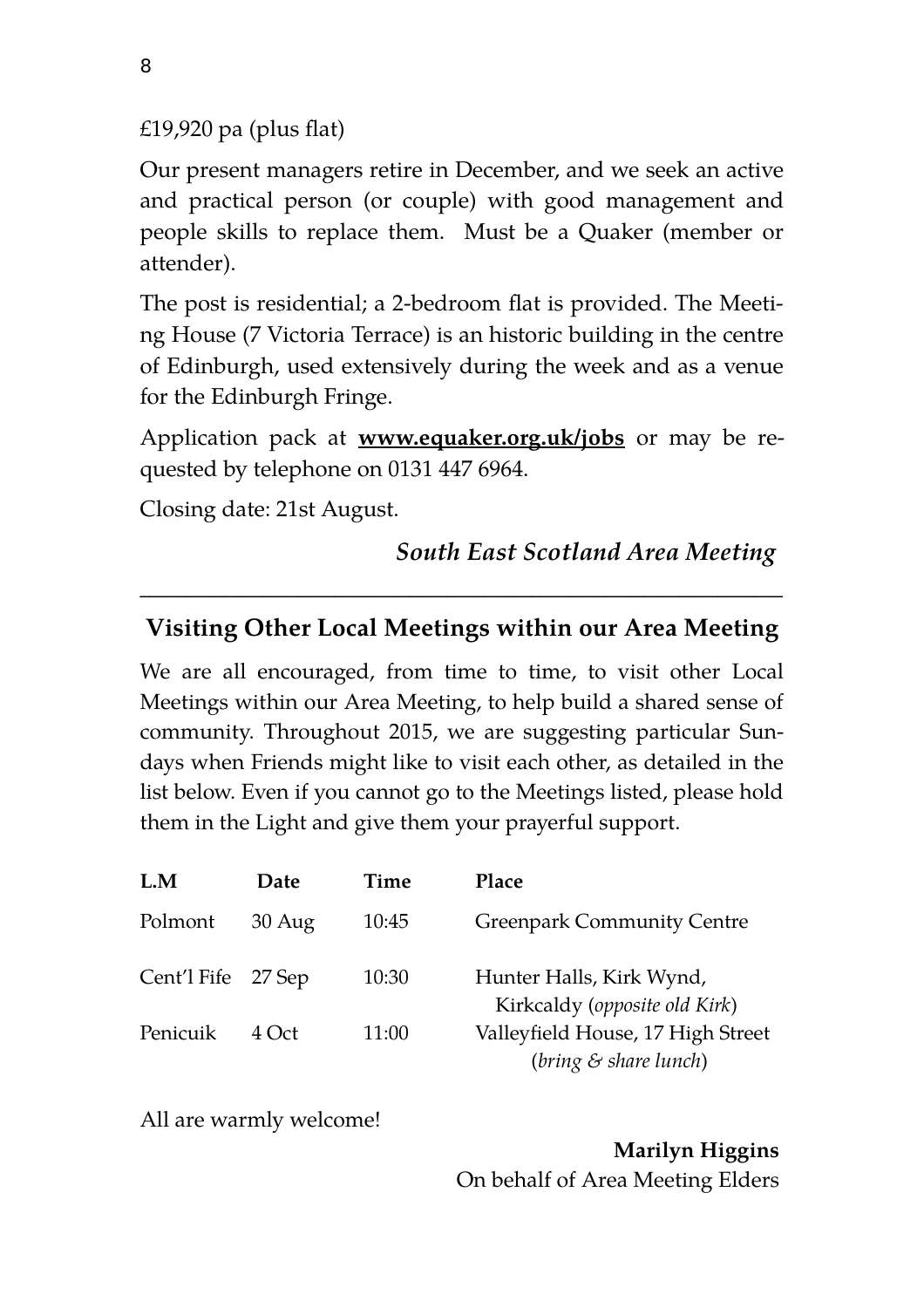$£19,920$  pa (plus flat)

Our present managers retire in December, and we seek an active and practical person (or couple) with good management and people skills to replace them. Must be a Quaker (member or attender).

The post is residential; a 2-bedroom flat is provided. The Meeting House (7 Victoria Terrace) is an historic building in the centre of Edinburgh, used extensively during the week and as a venue for the Edinburgh Fringe.

Application pack at **www.equaker.org.uk/jobs** or may be requested by telephone on 0131 447 6964.

Closing date: 21st August.

*South East Scotland Area Meeting* 

#### **Visiting Other Local Meetings within our Area Meeting**

 $\mathcal{L}_\text{max} = \mathcal{L}_\text{max} = \mathcal{L}_\text{max} = \mathcal{L}_\text{max} = \mathcal{L}_\text{max} = \mathcal{L}_\text{max} = \mathcal{L}_\text{max} = \mathcal{L}_\text{max} = \mathcal{L}_\text{max} = \mathcal{L}_\text{max} = \mathcal{L}_\text{max} = \mathcal{L}_\text{max} = \mathcal{L}_\text{max} = \mathcal{L}_\text{max} = \mathcal{L}_\text{max} = \mathcal{L}_\text{max} = \mathcal{L}_\text{max} = \mathcal{L}_\text{max} = \mathcal{$ 

We are all encouraged, from time to time, to visit other Local Meetings within our Area Meeting, to help build a shared sense of community. Throughout 2015, we are suggesting particular Sundays when Friends might like to visit each other, as detailed in the list below. Even if you cannot go to the Meetings listed, please hold them in the Light and give them your prayerful support.

| L.M                | Date             | Time  | Place                                                         |
|--------------------|------------------|-------|---------------------------------------------------------------|
| Polmont            | $30 \text{ Aug}$ | 10:45 | <b>Greenpark Community Centre</b>                             |
| Cent'l Fife 27 Sep |                  | 10:30 | Hunter Halls, Kirk Wynd,<br>Kirkcaldy (opposite old Kirk)     |
| Penicuik           | $4$ Oct          | 11:00 | Valleyfield House, 17 High Street<br>$(bring \& share lunch)$ |

All are warmly welcome!

**Marilyn Higgins**  On behalf of Area Meeting Elders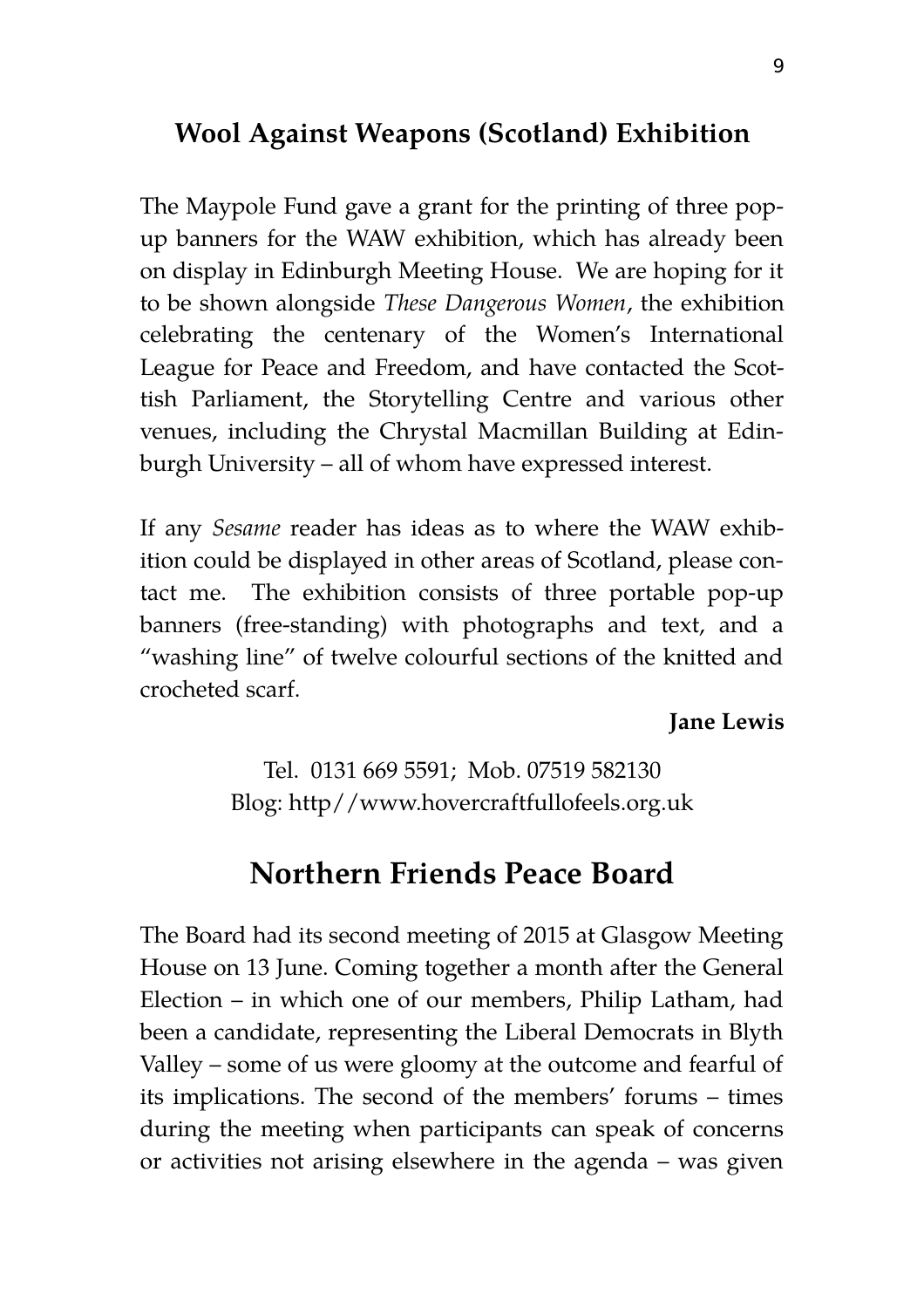# **Wool Against Weapons (Scotland) Exhibition**

The Maypole Fund gave a grant for the printing of three popup banners for the WAW exhibition, which has already been on display in Edinburgh Meeting House. We are hoping for it to be shown alongside *These Dangerous Women*, the exhibition celebrating the centenary of the Women's International League for Peace and Freedom, and have contacted the Scottish Parliament, the Storytelling Centre and various other venues, including the Chrystal Macmillan Building at Edinburgh University – all of whom have expressed interest.

If any *Sesame* reader has ideas as to where the WAW exhibition could be displayed in other areas of Scotland, please contact me. The exhibition consists of three portable pop-up banners (free-standing) with photographs and text, and a "washing line" of twelve colourful sections of the knitted and crocheted scarf.

**Jane Lewis**

Tel. 0131 669 5591; Mob. 07519 582130 Blog: http//www.hovercraftfullofeels.org.uk

# **Northern Friends Peace Board**

The Board had its second meeting of 2015 at Glasgow Meeting House on 13 June. Coming together a month after the General Election – in which one of our members, Philip Latham, had been a candidate, representing the Liberal Democrats in Blyth Valley – some of us were gloomy at the outcome and fearful of its implications. The second of the members' forums – times during the meeting when participants can speak of concerns or activities not arising elsewhere in the agenda – was given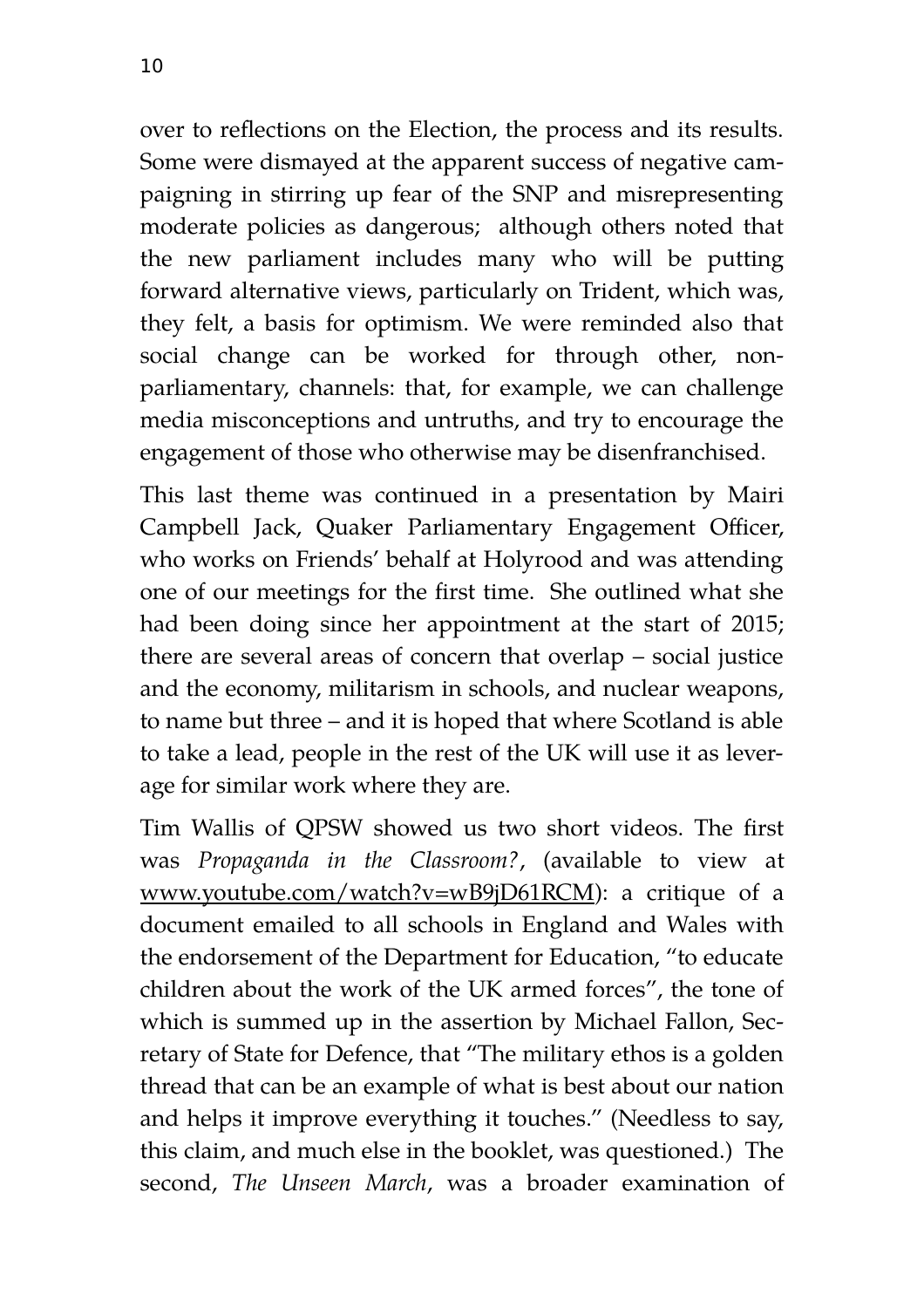over to reflections on the Election, the process and its results. Some were dismayed at the apparent success of negative campaigning in stirring up fear of the SNP and misrepresenting moderate policies as dangerous; although others noted that the new parliament includes many who will be putting forward alternative views, particularly on Trident, which was, they felt, a basis for optimism. We were reminded also that social change can be worked for through other, nonparliamentary, channels: that, for example, we can challenge media misconceptions and untruths, and try to encourage the engagement of those who otherwise may be disenfranchised.

This last theme was continued in a presentation by Mairi Campbell Jack, Quaker Parliamentary Engagement Officer, who works on Friends' behalf at Holyrood and was attending one of our meetings for the first time. She outlined what she had been doing since her appointment at the start of 2015; there are several areas of concern that overlap – social justice and the economy, militarism in schools, and nuclear weapons, to name but three – and it is hoped that where Scotland is able to take a lead, people in the rest of the UK will use it as leverage for similar work where they are.

Tim Wallis of QPSW showed us two short videos. The first was *Propaganda in the Classroom?*, (available to view at [www.youtube.com/watch?v=wB9jD61RCM\)](http://www.youtube.com/watch?v=wB9jD61RCM): a critique of a document emailed to all schools in England and Wales with the endorsement of the Department for Education, "to educate children about the work of the UK armed forces", the tone of which is summed up in the assertion by Michael Fallon, Secretary of State for Defence, that "The military ethos is a golden thread that can be an example of what is best about our nation and helps it improve everything it touches." (Needless to say, this claim, and much else in the booklet, was questioned.) The second, *The Unseen March*, was a broader examination of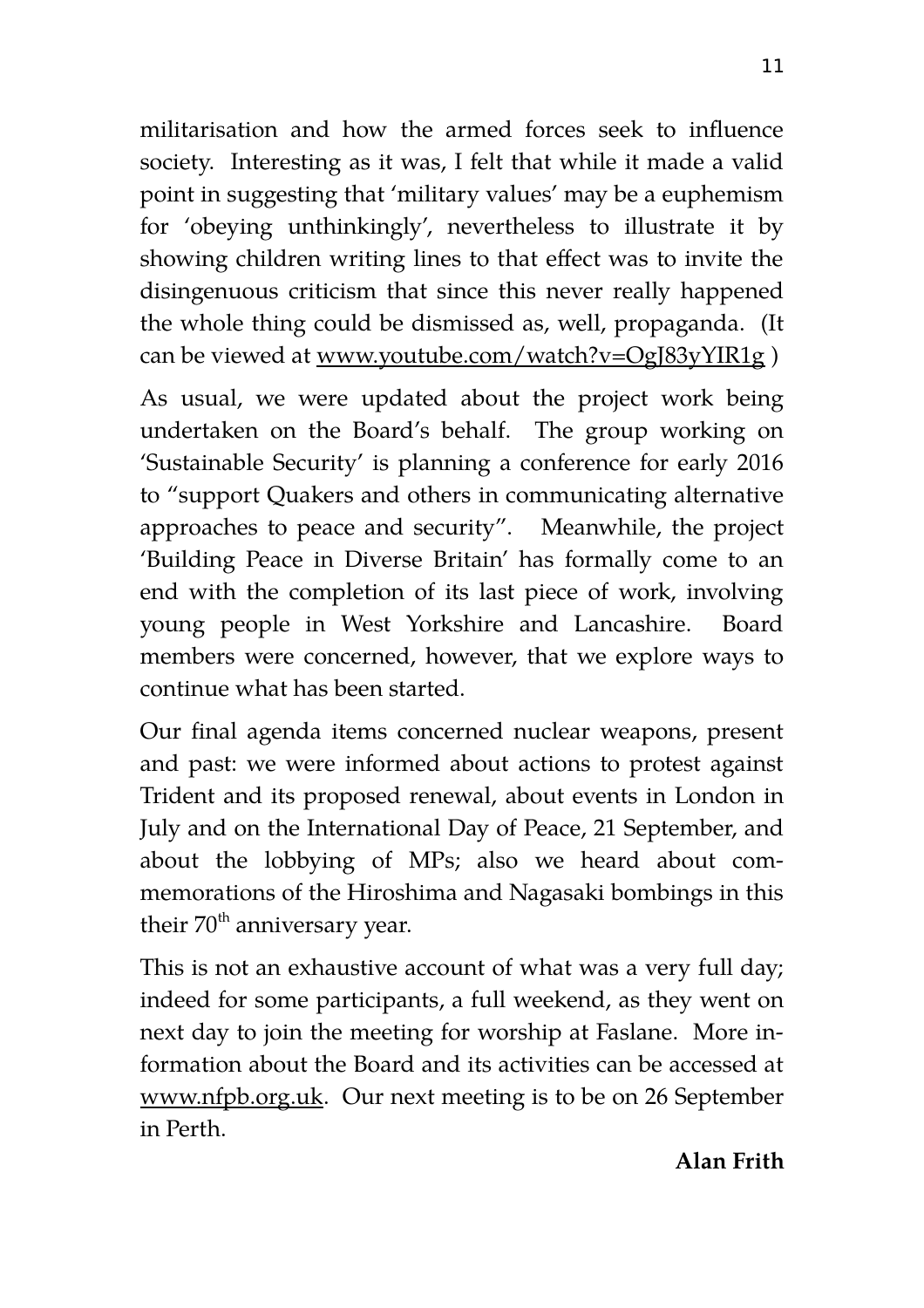militarisation and how the armed forces seek to influence society. Interesting as it was, I felt that while it made a valid point in suggesting that 'military values' may be a euphemism for 'obeying unthinkingly', nevertheless to illustrate it by showing children writing lines to that effect was to invite the disingenuous criticism that since this never really happened the whole thing could be dismissed as, well, propaganda. (It can be viewed at www.youtube.com/watch?v=OgJ83yYIR1g)

As usual, we were updated about the project work being undertaken on the Board's behalf. The group working on 'Sustainable Security' is planning a conference for early 2016 to "support Quakers and others in communicating alternative approaches to peace and security". Meanwhile, the project 'Building Peace in Diverse Britain' has formally come to an end with the completion of its last piece of work, involving young people in West Yorkshire and Lancashire. Board members were concerned, however, that we explore ways to continue what has been started.

Our final agenda items concerned nuclear weapons, present and past: we were informed about actions to protest against Trident and its proposed renewal, about events in London in July and on the International Day of Peace, 21 September, and about the lobbying of MPs; also we heard about commemorations of the Hiroshima and Nagasaki bombings in this their  $70<sup>th</sup>$  anniversary year.

This is not an exhaustive account of what was a very full day; indeed for some participants, a full weekend, as they went on next day to join the meeting for worship at Faslane. More information about the Board and its activities can be accessed at [www.nfpb.org.uk.](http://www.nfpb.org.uk/) Our next meeting is to be on 26 September in Perth.

## **Alan Frith**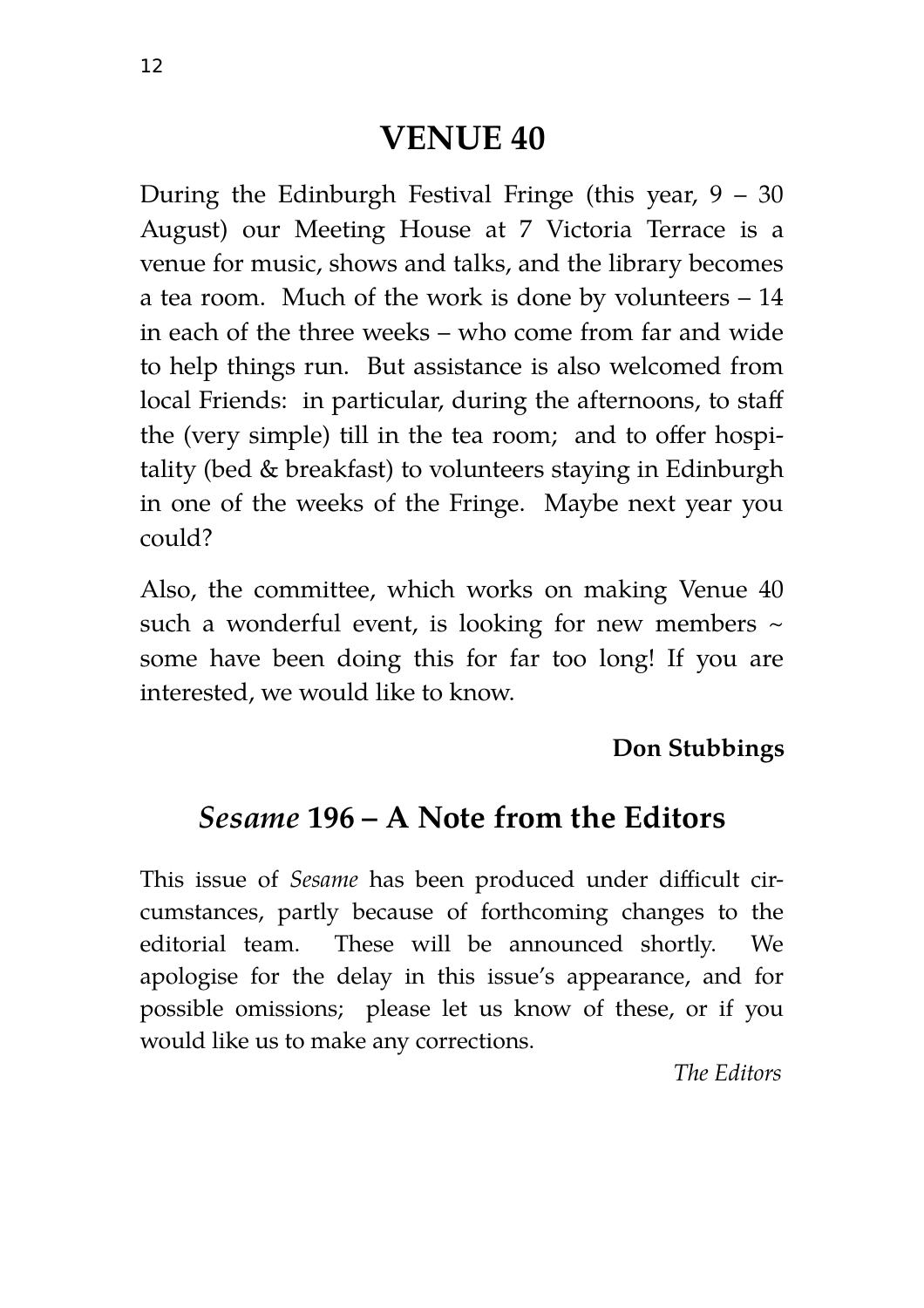# **VENUE 40**

During the Edinburgh Festival Fringe (this year,  $9 - 30$ August) our Meeting House at 7 Victoria Terrace is a venue for music, shows and talks, and the library becomes a tea room. Much of the work is done by volunteers – 14 in each of the three weeks – who come from far and wide to help things run. But assistance is also welcomed from local Friends: in particular, during the afternoons, to staff the (very simple) till in the tea room; and to offer hospitality (bed & breakfast) to volunteers staying in Edinburgh in one of the weeks of the Fringe. Maybe next year you could?

Also, the committee, which works on making Venue 40 such a wonderful event, is looking for new members  $\sim$ some have been doing this for far too long! If you are interested, we would like to know.

# **Don Stubbings**

# *Sesame* **196 – A Note from the Editors**

This issue of *Sesame* has been produced under difficult circumstances, partly because of forthcoming changes to the editorial team. These will be announced shortly. We apologise for the delay in this issue's appearance, and for possible omissions; please let us know of these, or if you would like us to make any corrections.

*The Editors*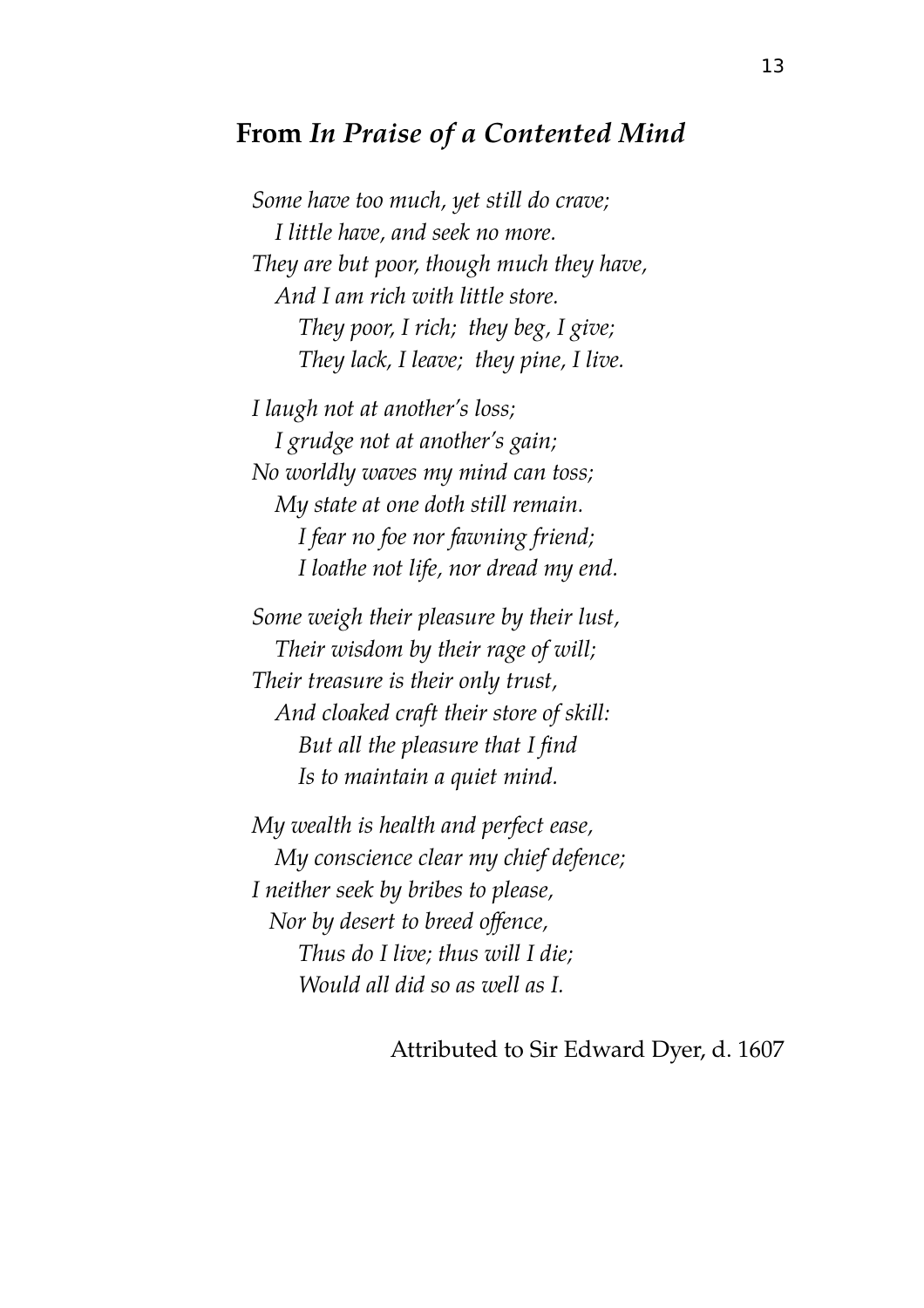# **From** *In Praise of a Contented Mind*

*Some have too much, yet still do crave; I little have, and seek no more. They are but poor, though much they have, And I am rich with little store. They poor, I rich; they beg, I give; They lack, I leave; they pine, I live.*

*I laugh not at another's loss; I grudge not at another's gain; No worldly waves my mind can toss; My state at one doth still remain. I fear no foe nor fawning friend; I loathe not life, nor dread my end.*

*Some weigh their pleasure by their lust, Their wisdom by their rage of will; Their treasure is their only trust, And cloaked craft their store of skill: But all the pleasure that I find Is to maintain a quiet mind.*

*My wealth is health and perfect ease, My conscience clear my chief defence; I neither seek by bribes to please, Nor by desert to breed offence, Thus do I live; thus will I die; Would all did so as well as I.*

Attributed to Sir Edward Dyer, d. 1607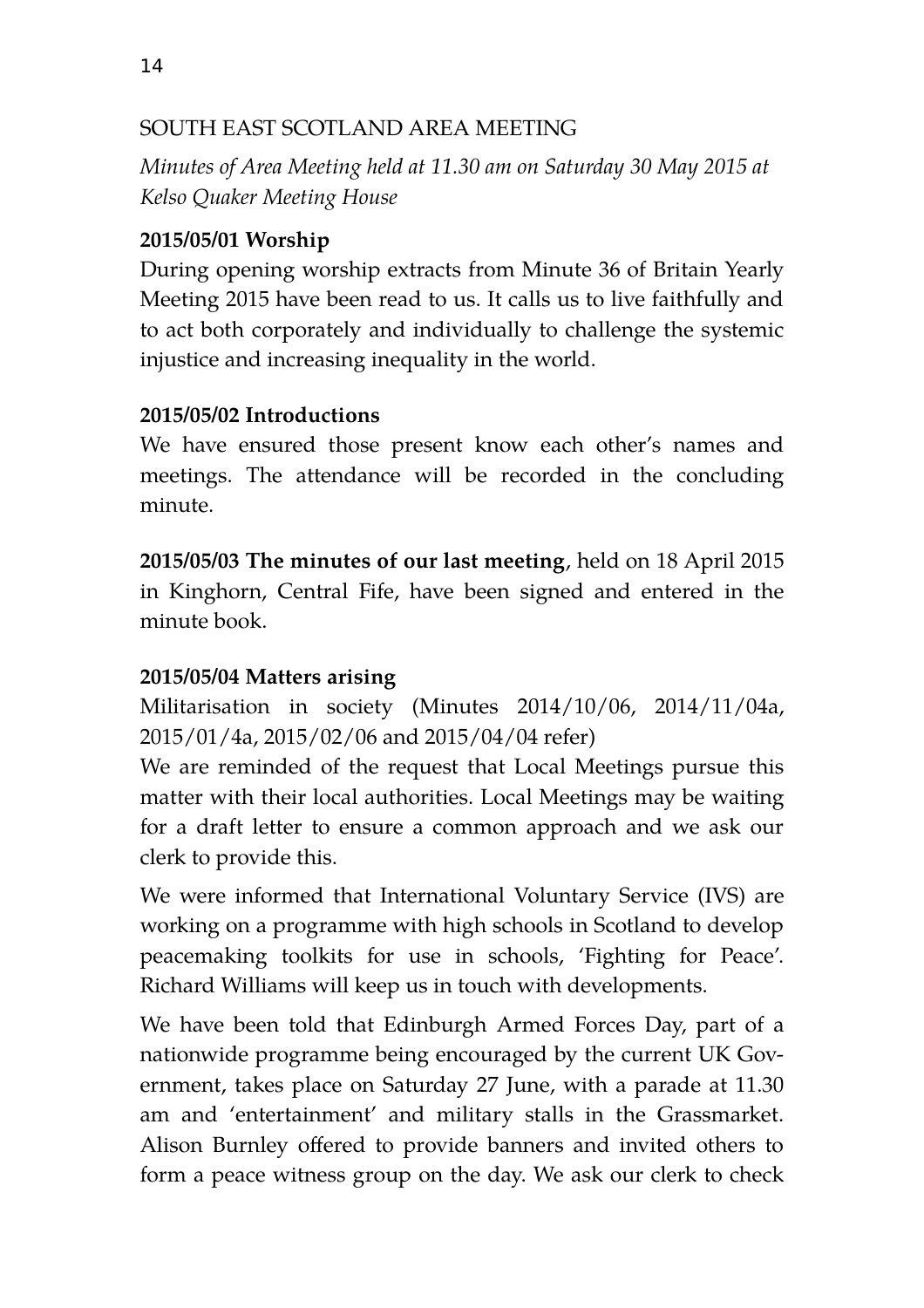#### SOUTH EAST SCOTLAND AREA MEETING

*Minutes of Area Meeting held at 11.30 am on Saturday 30 May 2015 at Kelso Quaker Meeting House* 

#### **2015/05/01 Worship**

During opening worship extracts from Minute 36 of Britain Yearly Meeting 2015 have been read to us. It calls us to live faithfully and to act both corporately and individually to challenge the systemic injustice and increasing inequality in the world.

#### **2015/05/02 Introductions**

We have ensured those present know each other's names and meetings. The attendance will be recorded in the concluding minute.

**2015/05/03 The minutes of our last meeting**, held on 18 April 2015 in Kinghorn, Central Fife, have been signed and entered in the minute book.

## **2015/05/04 Matters arising**

Militarisation in society (Minutes 2014/10/06, 2014/11/04a, 2015/01/4a, 2015/02/06 and 2015/04/04 refer)

We are reminded of the request that Local Meetings pursue this matter with their local authorities. Local Meetings may be waiting for a draft letter to ensure a common approach and we ask our clerk to provide this.

We were informed that International Voluntary Service (IVS) are working on a programme with high schools in Scotland to develop peacemaking toolkits for use in schools, 'Fighting for Peace'. Richard Williams will keep us in touch with developments.

We have been told that Edinburgh Armed Forces Day, part of a nationwide programme being encouraged by the current UK Government, takes place on Saturday 27 June, with a parade at 11.30 am and 'entertainment' and military stalls in the Grassmarket. Alison Burnley offered to provide banners and invited others to form a peace witness group on the day. We ask our clerk to check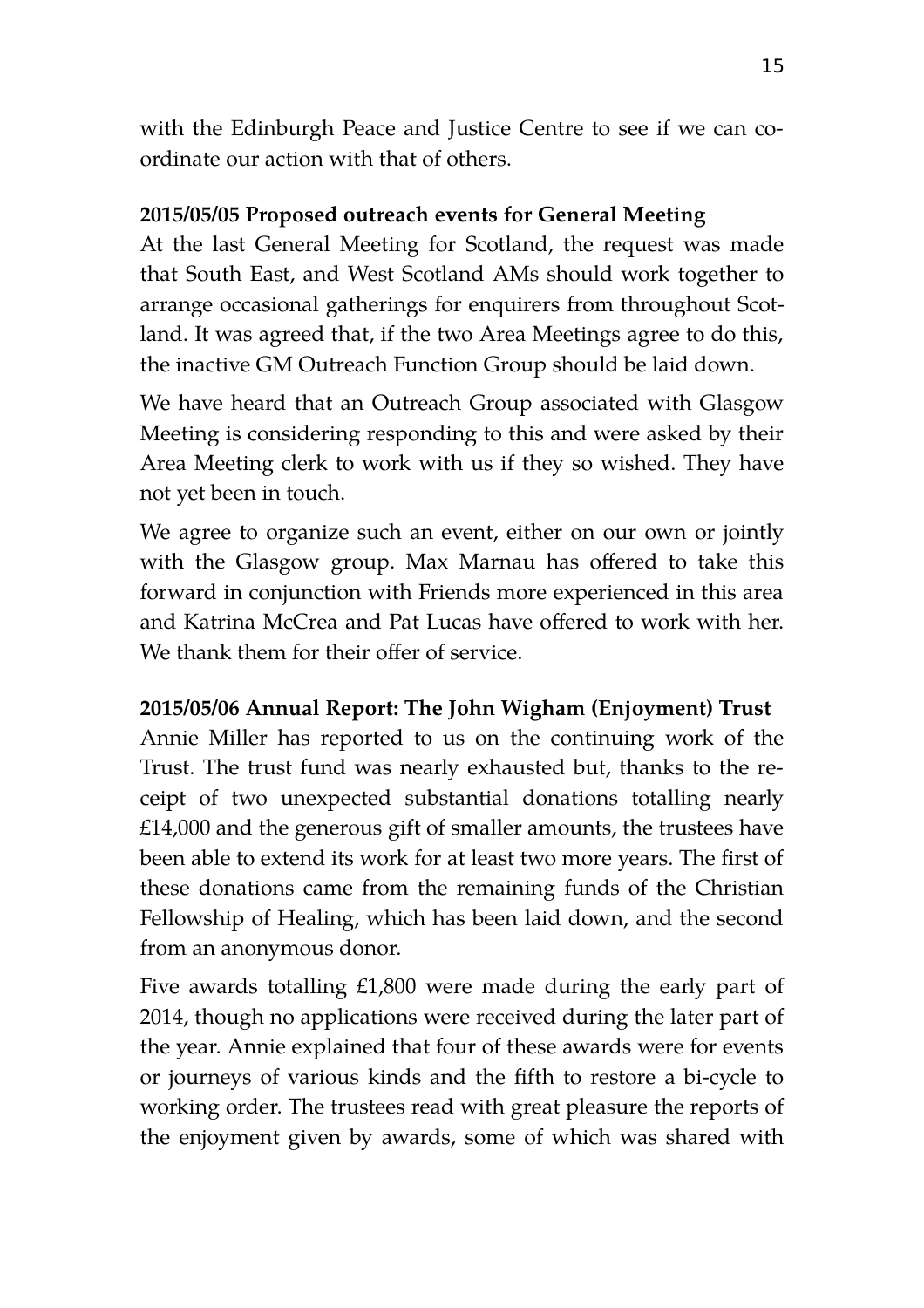with the Edinburgh Peace and Justice Centre to see if we can coordinate our action with that of others.

#### **2015/05/05 Proposed outreach events for General Meeting**

At the last General Meeting for Scotland, the request was made that South East, and West Scotland AMs should work together to arrange occasional gatherings for enquirers from throughout Scotland. It was agreed that, if the two Area Meetings agree to do this, the inactive GM Outreach Function Group should be laid down.

We have heard that an Outreach Group associated with Glasgow Meeting is considering responding to this and were asked by their Area Meeting clerk to work with us if they so wished. They have not yet been in touch.

We agree to organize such an event, either on our own or jointly with the Glasgow group. Max Marnau has offered to take this forward in conjunction with Friends more experienced in this area and Katrina McCrea and Pat Lucas have offered to work with her. We thank them for their offer of service.

#### **2015/05/06 Annual Report: The John Wigham (Enjoyment) Trust**

Annie Miller has reported to us on the continuing work of the Trust. The trust fund was nearly exhausted but, thanks to the receipt of two unexpected substantial donations totalling nearly £14,000 and the generous gift of smaller amounts, the trustees have been able to extend its work for at least two more years. The first of these donations came from the remaining funds of the Christian Fellowship of Healing, which has been laid down, and the second from an anonymous donor.

Five awards totalling £1,800 were made during the early part of 2014, though no applications were received during the later part of the year. Annie explained that four of these awards were for events or journeys of various kinds and the fifth to restore a bi-cycle to working order. The trustees read with great pleasure the reports of the enjoyment given by awards, some of which was shared with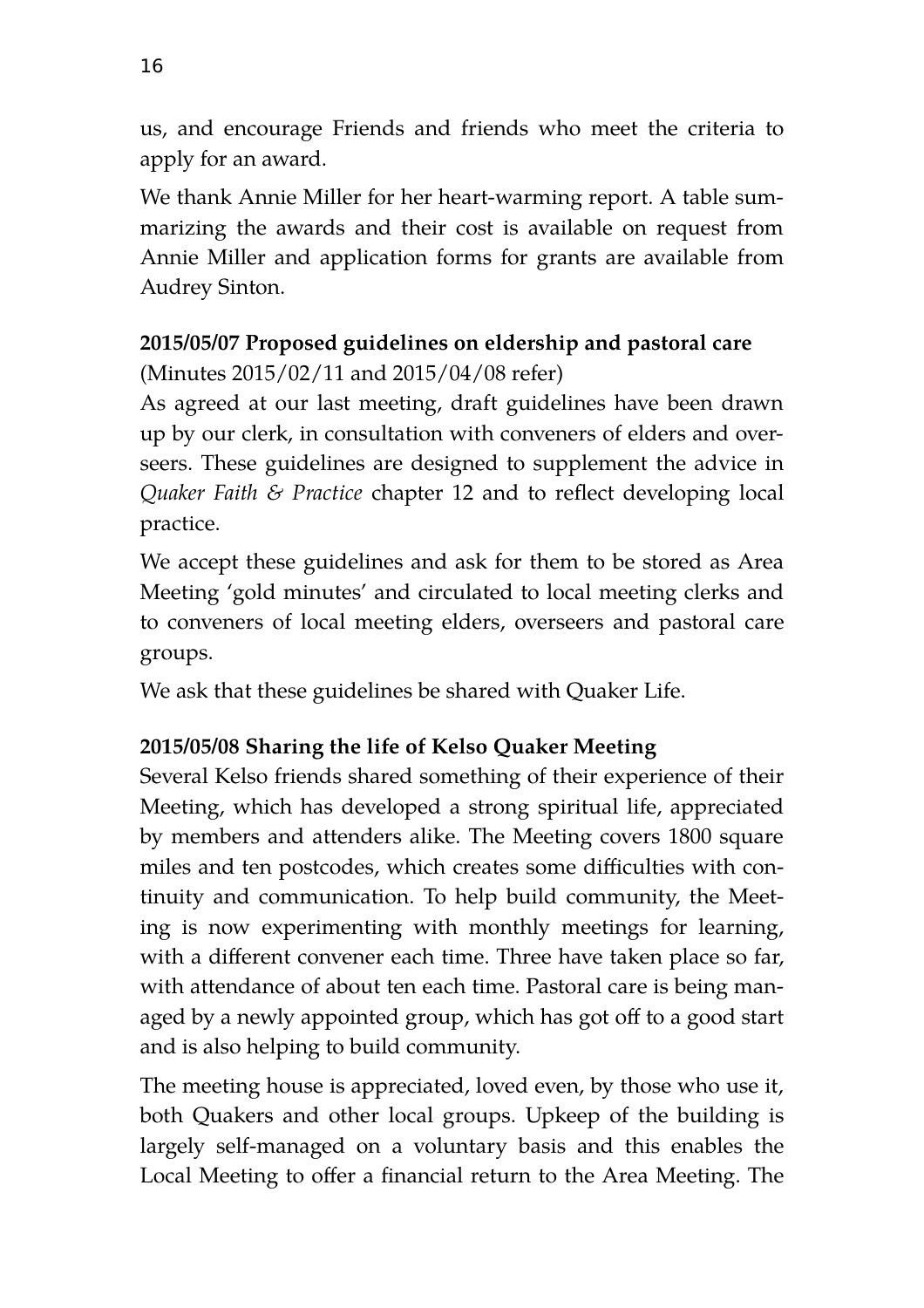us, and encourage Friends and friends who meet the criteria to apply for an award.

We thank Annie Miller for her heart-warming report. A table summarizing the awards and their cost is available on request from Annie Miller and application forms for grants are available from Audrey Sinton.

# **2015/05/07 Proposed guidelines on eldership and pastoral care**  (Minutes 2015/02/11 and 2015/04/08 refer)

As agreed at our last meeting, draft guidelines have been drawn up by our clerk, in consultation with conveners of elders and overseers. These guidelines are designed to supplement the advice in *Quaker Faith & Practice* chapter 12 and to reflect developing local practice.

We accept these guidelines and ask for them to be stored as Area Meeting 'gold minutes' and circulated to local meeting clerks and to conveners of local meeting elders, overseers and pastoral care groups.

We ask that these guidelines be shared with Quaker Life.

# **2015/05/08 Sharing the life of Kelso Quaker Meeting**

Several Kelso friends shared something of their experience of their Meeting, which has developed a strong spiritual life, appreciated by members and attenders alike. The Meeting covers 1800 square miles and ten postcodes, which creates some difficulties with continuity and communication. To help build community, the Meeting is now experimenting with monthly meetings for learning, with a different convener each time. Three have taken place so far, with attendance of about ten each time. Pastoral care is being managed by a newly appointed group, which has got off to a good start and is also helping to build community.

The meeting house is appreciated, loved even, by those who use it, both Quakers and other local groups. Upkeep of the building is largely self-managed on a voluntary basis and this enables the Local Meeting to offer a financial return to the Area Meeting. The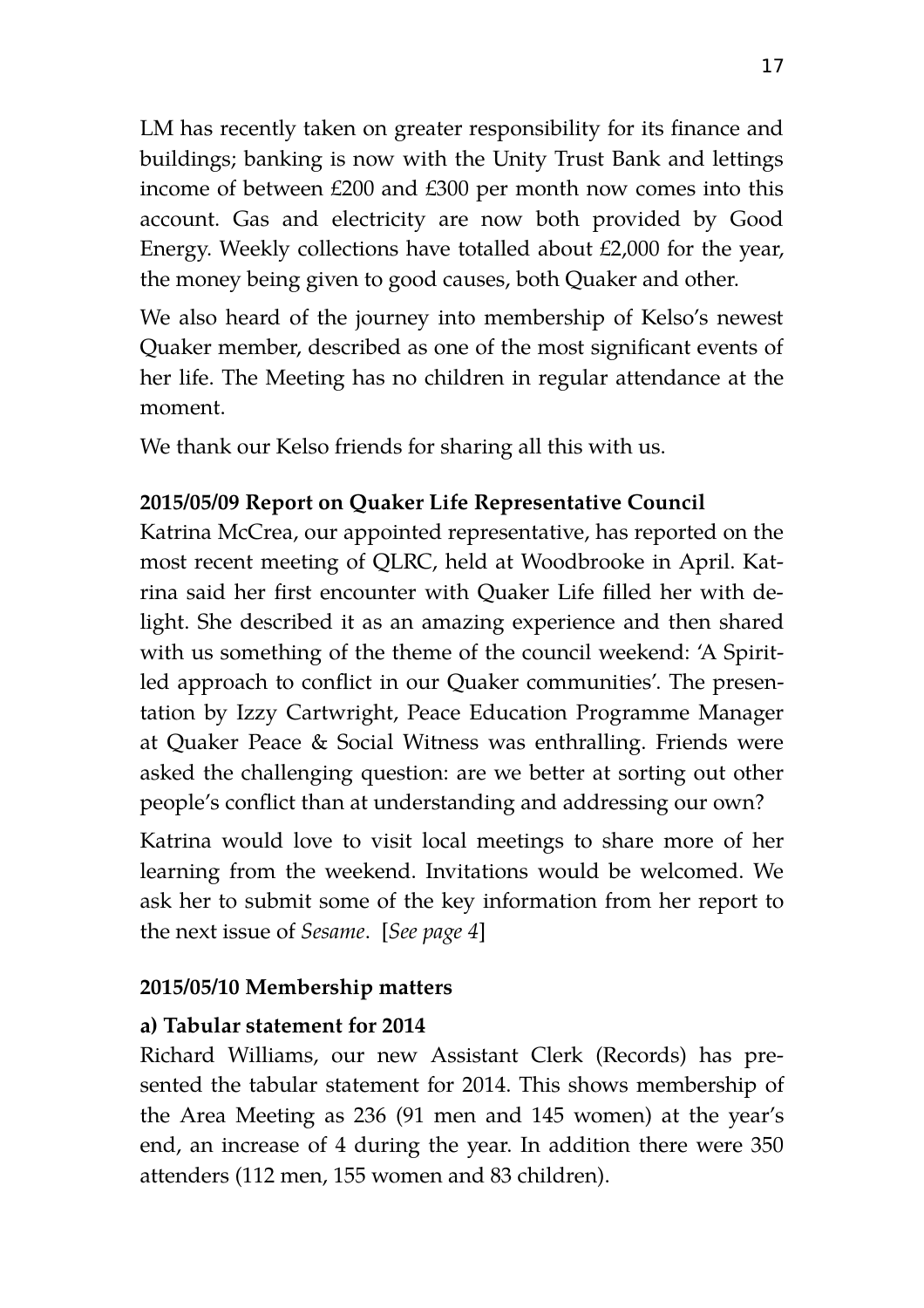LM has recently taken on greater responsibility for its finance and buildings; banking is now with the Unity Trust Bank and lettings income of between £200 and £300 per month now comes into this account. Gas and electricity are now both provided by Good Energy. Weekly collections have totalled about £2,000 for the year, the money being given to good causes, both Quaker and other.

We also heard of the journey into membership of Kelso's newest Quaker member, described as one of the most significant events of her life. The Meeting has no children in regular attendance at the moment.

We thank our Kelso friends for sharing all this with us.

#### **2015/05/09 Report on Quaker Life Representative Council**

Katrina McCrea, our appointed representative, has reported on the most recent meeting of QLRC, held at Woodbrooke in April. Katrina said her first encounter with Quaker Life filled her with delight. She described it as an amazing experience and then shared with us something of the theme of the council weekend: 'A Spiritled approach to conflict in our Quaker communities'. The presentation by Izzy Cartwright, Peace Education Programme Manager at Quaker Peace & Social Witness was enthralling. Friends were asked the challenging question: are we better at sorting out other people's conflict than at understanding and addressing our own?

Katrina would love to visit local meetings to share more of her learning from the weekend. Invitations would be welcomed. We ask her to submit some of the key information from her report to the next issue of *Sesame*. [*See page 4*]

#### **2015/05/10 Membership matters**

#### **a) Tabular statement for 2014**

Richard Williams, our new Assistant Clerk (Records) has presented the tabular statement for 2014. This shows membership of the Area Meeting as 236 (91 men and 145 women) at the year's end, an increase of 4 during the year. In addition there were 350 attenders (112 men, 155 women and 83 children).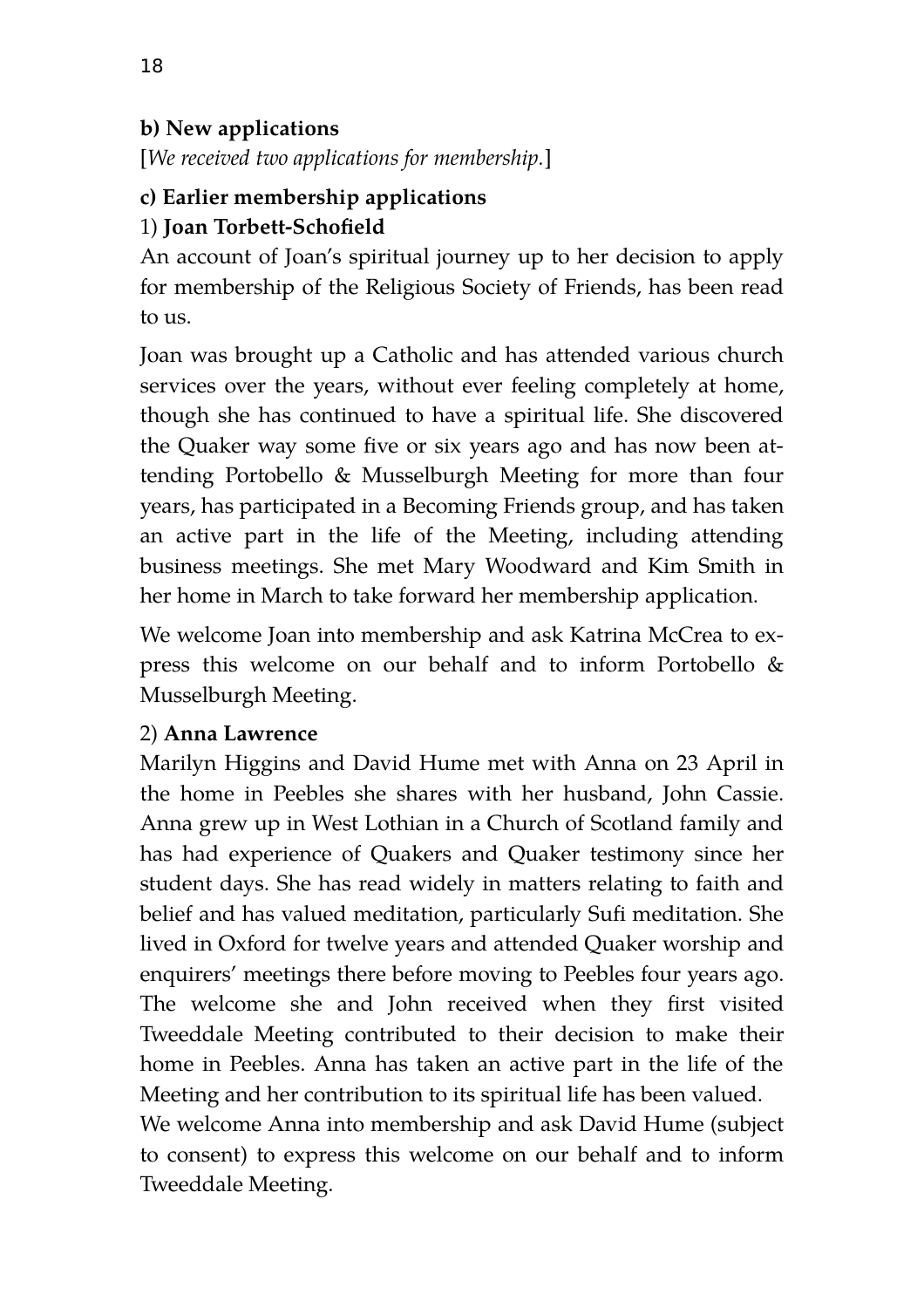## **b) New applications**

[*We received two applications for membership.*]

#### **c) Earlier membership applications**  1) **Joan Torbett-Schofield**

An account of Joan's spiritual journey up to her decision to apply for membership of the Religious Society of Friends, has been read to us.

Joan was brought up a Catholic and has attended various church services over the years, without ever feeling completely at home, though she has continued to have a spiritual life. She discovered the Quaker way some five or six years ago and has now been attending Portobello & Musselburgh Meeting for more than four years, has participated in a Becoming Friends group, and has taken an active part in the life of the Meeting, including attending business meetings. She met Mary Woodward and Kim Smith in her home in March to take forward her membership application.

We welcome Joan into membership and ask Katrina McCrea to express this welcome on our behalf and to inform Portobello & Musselburgh Meeting.

## 2) **Anna Lawrence**

Marilyn Higgins and David Hume met with Anna on 23 April in the home in Peebles she shares with her husband, John Cassie. Anna grew up in West Lothian in a Church of Scotland family and has had experience of Quakers and Quaker testimony since her student days. She has read widely in matters relating to faith and belief and has valued meditation, particularly Sufi meditation. She lived in Oxford for twelve years and attended Quaker worship and enquirers' meetings there before moving to Peebles four years ago. The welcome she and John received when they first visited Tweeddale Meeting contributed to their decision to make their home in Peebles. Anna has taken an active part in the life of the Meeting and her contribution to its spiritual life has been valued.

We welcome Anna into membership and ask David Hume (subject to consent) to express this welcome on our behalf and to inform Tweeddale Meeting.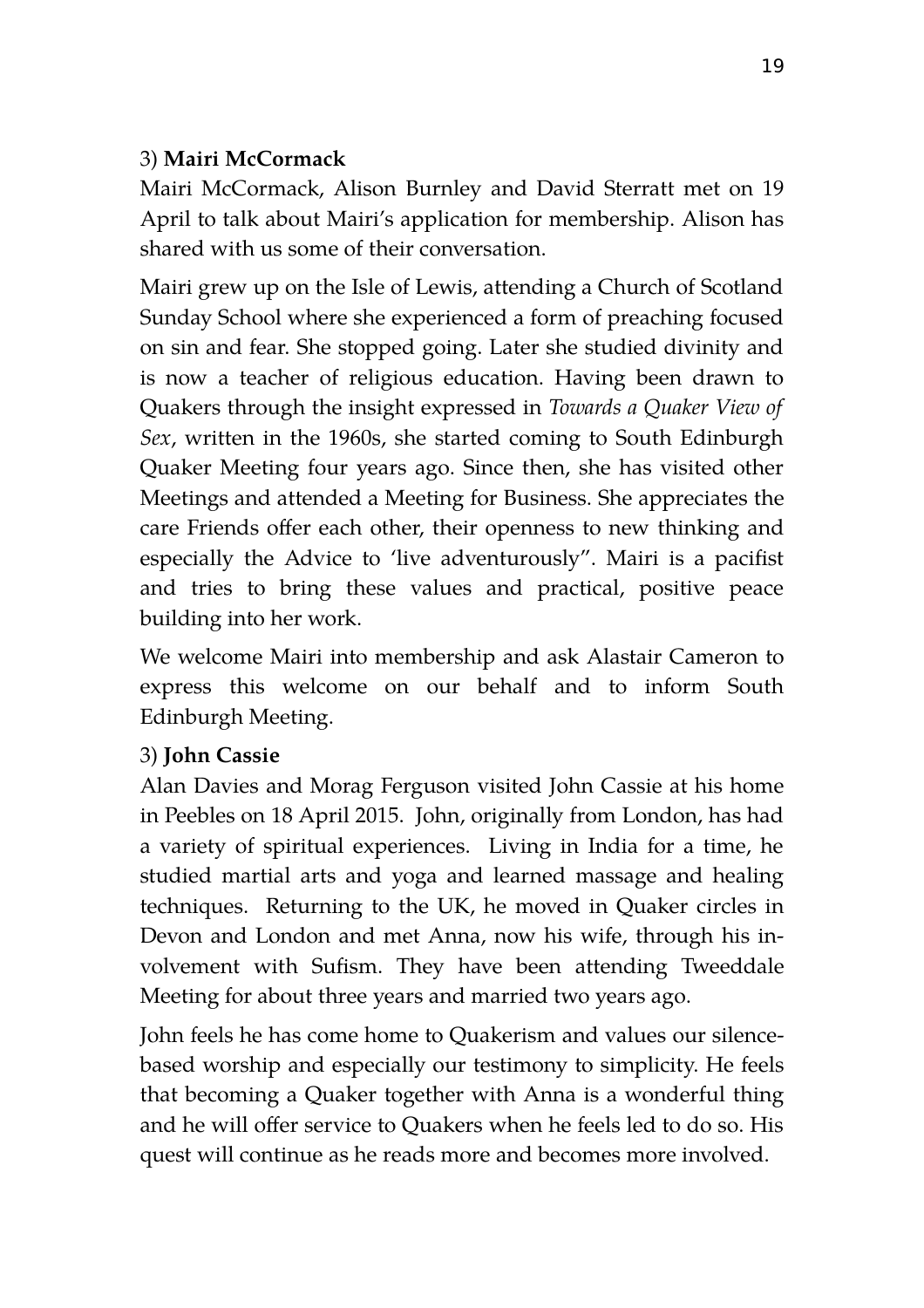#### 3) **Mairi McCormack**

Mairi McCormack, Alison Burnley and David Sterratt met on 19 April to talk about Mairi's application for membership. Alison has shared with us some of their conversation.

Mairi grew up on the Isle of Lewis, attending a Church of Scotland Sunday School where she experienced a form of preaching focused on sin and fear. She stopped going. Later she studied divinity and is now a teacher of religious education. Having been drawn to Quakers through the insight expressed in *Towards a Quaker View of Sex*, written in the 1960s, she started coming to South Edinburgh Quaker Meeting four years ago. Since then, she has visited other Meetings and attended a Meeting for Business. She appreciates the care Friends offer each other, their openness to new thinking and especially the Advice to 'live adventurously". Mairi is a pacifist and tries to bring these values and practical, positive peace building into her work.

We welcome Mairi into membership and ask Alastair Cameron to express this welcome on our behalf and to inform South Edinburgh Meeting.

#### 3) **John Cassie**

Alan Davies and Morag Ferguson visited John Cassie at his home in Peebles on 18 April 2015. John, originally from London, has had a variety of spiritual experiences. Living in India for a time, he studied martial arts and yoga and learned massage and healing techniques. Returning to the UK, he moved in Quaker circles in Devon and London and met Anna, now his wife, through his involvement with Sufism. They have been attending Tweeddale Meeting for about three years and married two years ago.

John feels he has come home to Quakerism and values our silencebased worship and especially our testimony to simplicity. He feels that becoming a Quaker together with Anna is a wonderful thing and he will offer service to Quakers when he feels led to do so. His quest will continue as he reads more and becomes more involved.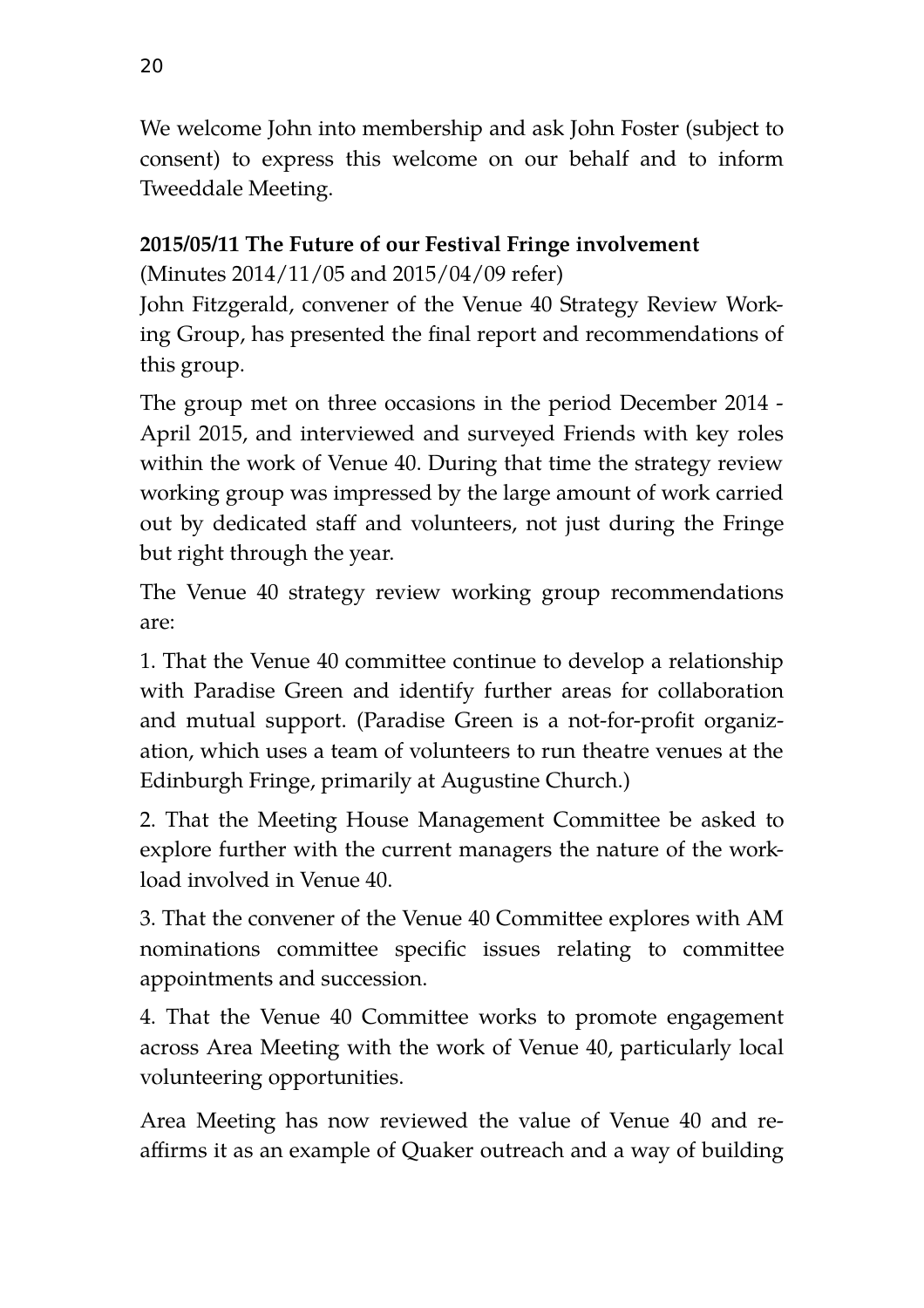We welcome John into membership and ask John Foster (subject to consent) to express this welcome on our behalf and to inform Tweeddale Meeting.

#### **2015/05/11 The Future of our Festival Fringe involvement**

(Minutes 2014/11/05 and 2015/04/09 refer)

John Fitzgerald, convener of the Venue 40 Strategy Review Working Group, has presented the final report and recommendations of this group.

The group met on three occasions in the period December 2014 - April 2015, and interviewed and surveyed Friends with key roles within the work of Venue 40. During that time the strategy review working group was impressed by the large amount of work carried out by dedicated staff and volunteers, not just during the Fringe but right through the year.

The Venue 40 strategy review working group recommendations are:

1. That the Venue 40 committee continue to develop a relationship with Paradise Green and identify further areas for collaboration and mutual support. (Paradise Green is a not-for-profit organization, which uses a team of volunteers to run theatre venues at the Edinburgh Fringe, primarily at Augustine Church.)

2. That the Meeting House Management Committee be asked to explore further with the current managers the nature of the workload involved in Venue 40.

3. That the convener of the Venue 40 Committee explores with AM nominations committee specific issues relating to committee appointments and succession.

4. That the Venue 40 Committee works to promote engagement across Area Meeting with the work of Venue 40, particularly local volunteering opportunities.

Area Meeting has now reviewed the value of Venue 40 and reaffirms it as an example of Quaker outreach and a way of building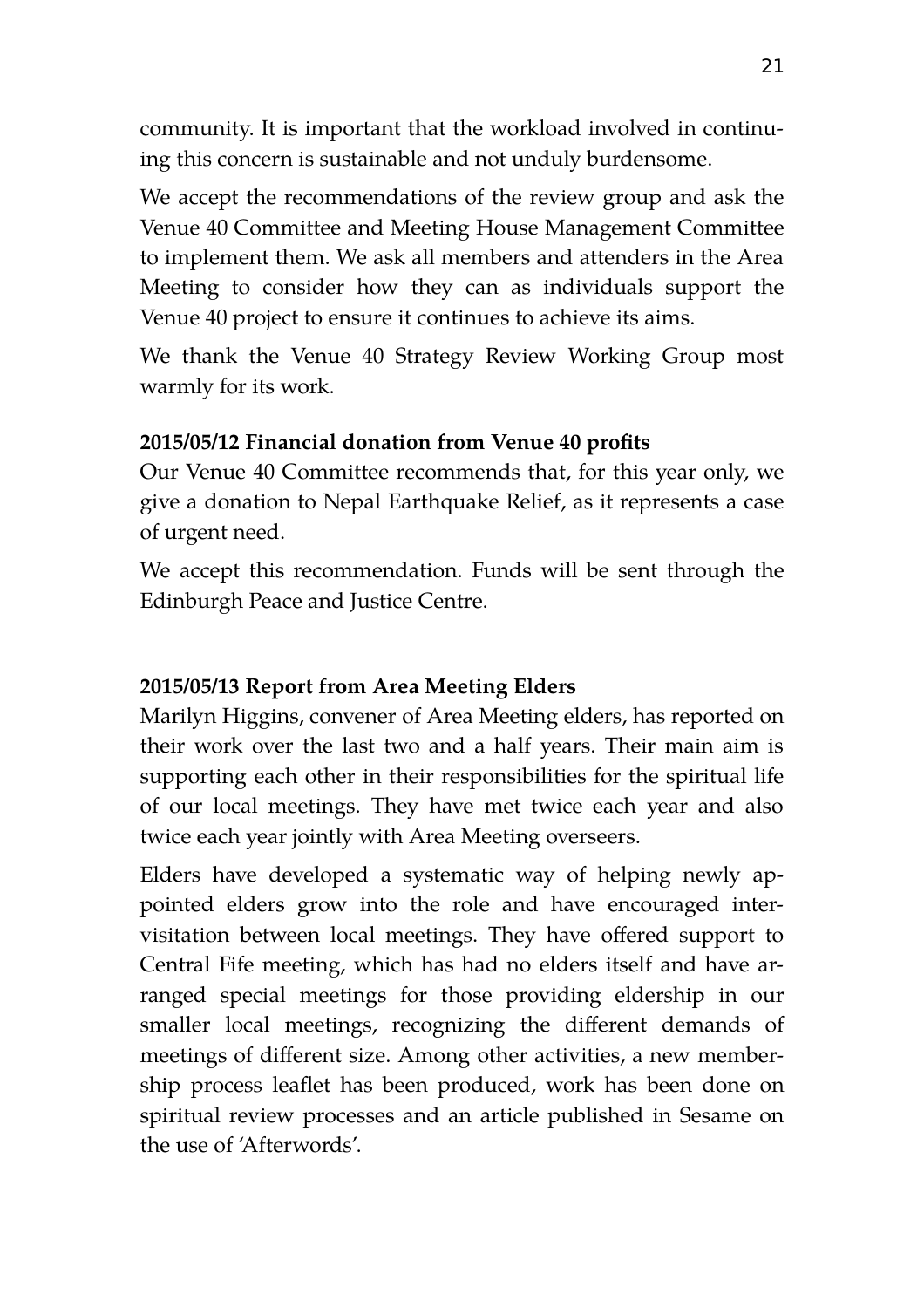community. It is important that the workload involved in continuing this concern is sustainable and not unduly burdensome.

We accept the recommendations of the review group and ask the Venue 40 Committee and Meeting House Management Committee to implement them. We ask all members and attenders in the Area Meeting to consider how they can as individuals support the Venue 40 project to ensure it continues to achieve its aims.

We thank the Venue 40 Strategy Review Working Group most warmly for its work.

#### **2015/05/12 Financial donation from Venue 40 profits**

Our Venue 40 Committee recommends that, for this year only, we give a donation to Nepal Earthquake Relief, as it represents a case of urgent need.

We accept this recommendation. Funds will be sent through the Edinburgh Peace and Justice Centre.

#### **2015/05/13 Report from Area Meeting Elders**

Marilyn Higgins, convener of Area Meeting elders, has reported on their work over the last two and a half years. Their main aim is supporting each other in their responsibilities for the spiritual life of our local meetings. They have met twice each year and also twice each year jointly with Area Meeting overseers.

Elders have developed a systematic way of helping newly appointed elders grow into the role and have encouraged intervisitation between local meetings. They have offered support to Central Fife meeting, which has had no elders itself and have arranged special meetings for those providing eldership in our smaller local meetings, recognizing the different demands of meetings of different size. Among other activities, a new membership process leaflet has been produced, work has been done on spiritual review processes and an article published in Sesame on the use of 'Afterwords'.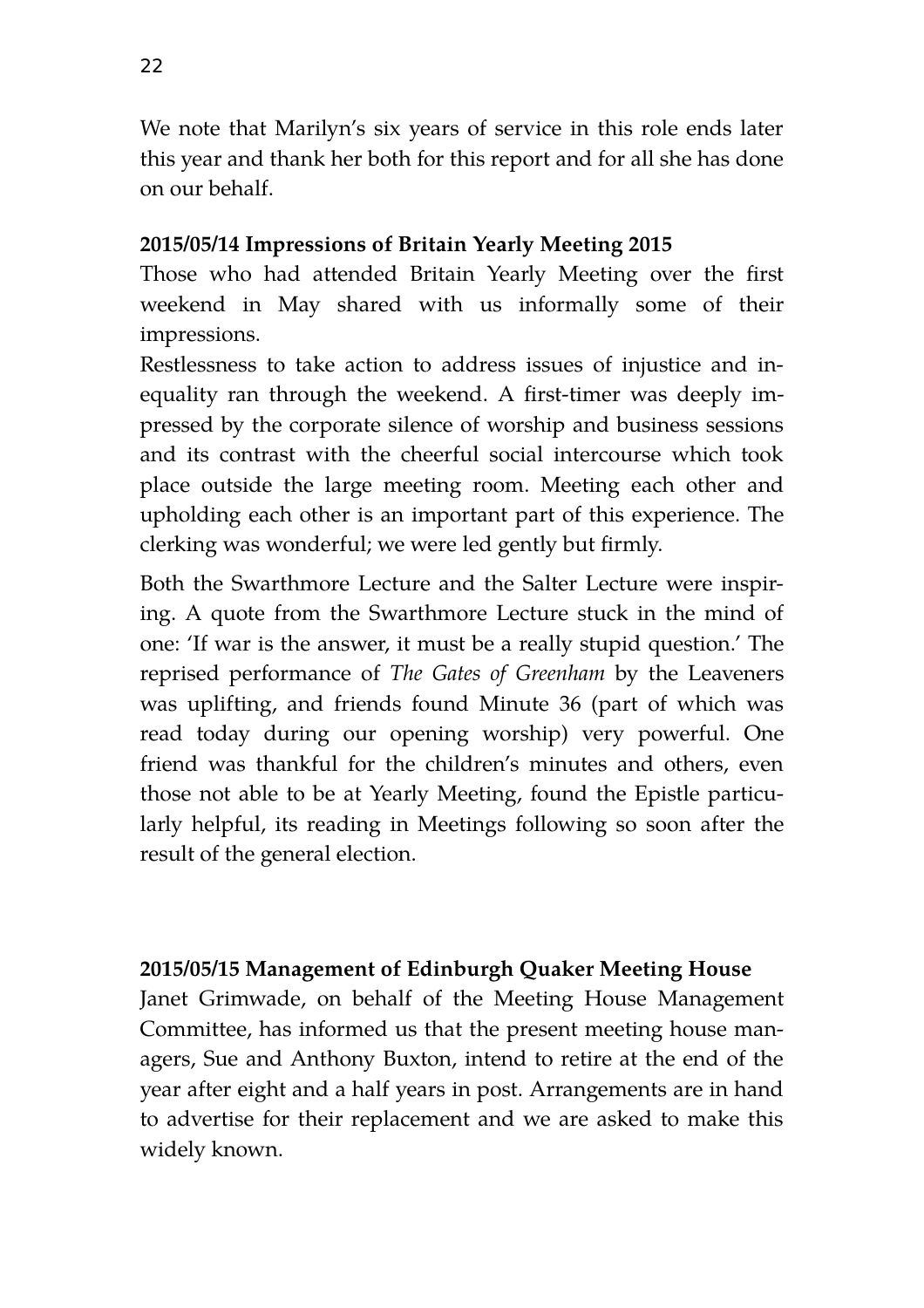We note that Marilyn's six years of service in this role ends later this year and thank her both for this report and for all she has done on our behalf.

#### **2015/05/14 Impressions of Britain Yearly Meeting 2015**

Those who had attended Britain Yearly Meeting over the first weekend in May shared with us informally some of their impressions.

Restlessness to take action to address issues of injustice and inequality ran through the weekend. A first-timer was deeply impressed by the corporate silence of worship and business sessions and its contrast with the cheerful social intercourse which took place outside the large meeting room. Meeting each other and upholding each other is an important part of this experience. The clerking was wonderful; we were led gently but firmly.

Both the Swarthmore Lecture and the Salter Lecture were inspiring. A quote from the Swarthmore Lecture stuck in the mind of one: 'If war is the answer, it must be a really stupid question.' The reprised performance of *The Gates of Greenham* by the Leaveners was uplifting, and friends found Minute 36 (part of which was read today during our opening worship) very powerful. One friend was thankful for the children's minutes and others, even those not able to be at Yearly Meeting, found the Epistle particularly helpful, its reading in Meetings following so soon after the result of the general election.

#### **2015/05/15 Management of Edinburgh Quaker Meeting House**

Janet Grimwade, on behalf of the Meeting House Management Committee, has informed us that the present meeting house managers, Sue and Anthony Buxton, intend to retire at the end of the year after eight and a half years in post. Arrangements are in hand to advertise for their replacement and we are asked to make this widely known.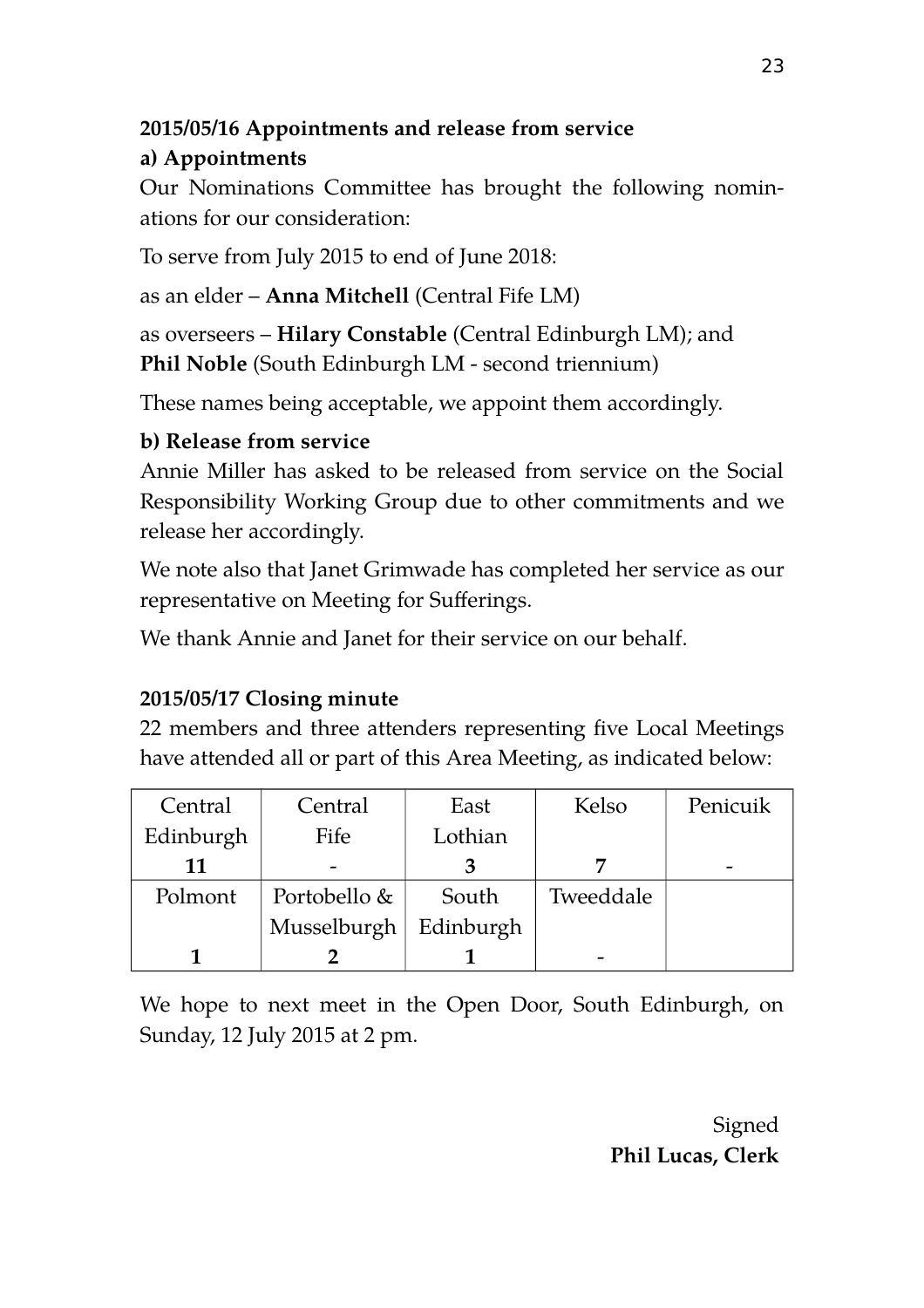#### **2015/05/16 Appointments and release from service a) Appointments**

Our Nominations Committee has brought the following nominations for our consideration:

To serve from July 2015 to end of June 2018:

as an elder – **Anna Mitchell** (Central Fife LM)

as overseers – **Hilary Constable** (Central Edinburgh LM); and **Phil Noble** (South Edinburgh LM - second triennium)

These names being acceptable, we appoint them accordingly.

# **b) Release from service**

Annie Miller has asked to be released from service on the Social Responsibility Working Group due to other commitments and we release her accordingly.

We note also that Janet Grimwade has completed her service as our representative on Meeting for Sufferings.

We thank Annie and Janet for their service on our behalf.

# **2015/05/17 Closing minute**

22 members and three attenders representing five Local Meetings have attended all or part of this Area Meeting, as indicated below:

| Central   | Central      | East      | Kelso     | Penicuik |
|-----------|--------------|-----------|-----------|----------|
| Edinburgh | Fife         | Lothian   |           |          |
| 11        |              |           |           | -        |
| Polmont   | Portobello & | South     | Tweeddale |          |
|           | Musselburgh  | Edinburgh |           |          |
|           |              |           |           |          |

We hope to next meet in the Open Door, South Edinburgh, on Sunday, 12 July 2015 at 2 pm.

> Signed **Phil Lucas, Clerk**